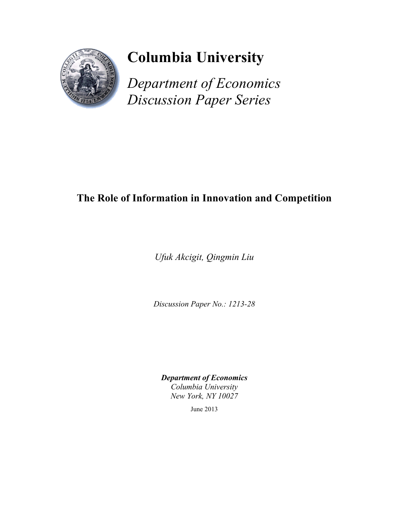

# **Columbia University**

*Department of Economics Discussion Paper Series*

# **The Role of Information in Innovation and Competition**

*Ufuk Akcigit, Qingmin Liu*

*Discussion Paper No.: 1213-28*

*Department of Economics Columbia University New York, NY 10027*

June 2013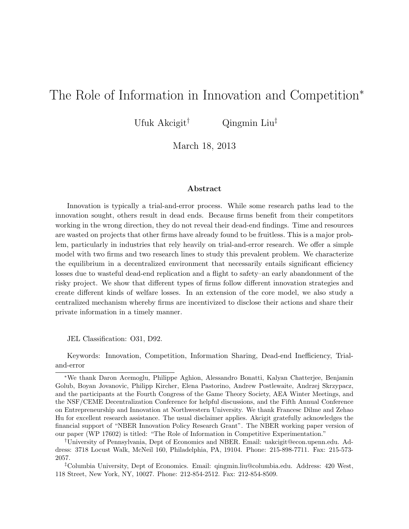# The Role of Information in Innovation and Competition<sup>∗</sup>

Ufuk Akcigit<sup>†</sup> Qingmin Liu<sup>‡</sup>

March 18, 2013

#### Abstract

Innovation is typically a trial-and-error process. While some research paths lead to the innovation sought, others result in dead ends. Because firms benefit from their competitors working in the wrong direction, they do not reveal their dead-end findings. Time and resources are wasted on projects that other firms have already found to be fruitless. This is a major problem, particularly in industries that rely heavily on trial-and-error research. We offer a simple model with two firms and two research lines to study this prevalent problem. We characterize the equilibrium in a decentralized environment that necessarily entails significant efficiency losses due to wasteful dead-end replication and a flight to safety–an early abandonment of the risky project. We show that different types of firms follow different innovation strategies and create different kinds of welfare losses. In an extension of the core model, we also study a centralized mechanism whereby firms are incentivized to disclose their actions and share their private information in a timely manner.

JEL Classification: O31, D92.

Keywords: Innovation, Competition, Information Sharing, Dead-end Inefficiency, Trialand-error

<sup>∗</sup>We thank Daron Acemoglu, Philippe Aghion, Alessandro Bonatti, Kalyan Chatterjee, Benjamin Golub, Boyan Jovanovic, Philipp Kircher, Elena Pastorino, Andrew Postlewaite, Andrzej Skrzypacz, and the participants at the Fourth Congress of the Game Theory Society, AEA Winter Meetings, and the NSF/CEME Decentralization Conference for helpful discussions, and the Fifth Annual Conference on Entrepreneurship and Innovation at Northwestern University. We thank Francesc Dilme and Zehao Hu for excellent research assistance. The usual disclaimer applies. Akcigit gratefully acknowledges the financial support of "NBER Innovation Policy Research Grant". The NBER working paper version of our paper (WP 17602) is titled: "The Role of Information in Competitive Experimentation."

<sup>†</sup>University of Pennsylvania, Dept of Economics and NBER. Email: uakcigit@econ.upenn.edu. Address: 3718 Locust Walk, McNeil 160, Philadelphia, PA, 19104. Phone: 215-898-7711. Fax: 215-573- 2057.

<sup>‡</sup>Columbia University, Dept of Economics. Email: qingmin.liu@columbia.edu. Address: 420 West, 118 Street, New York, NY, 10027. Phone: 212-854-2512. Fax: 212-854-8509.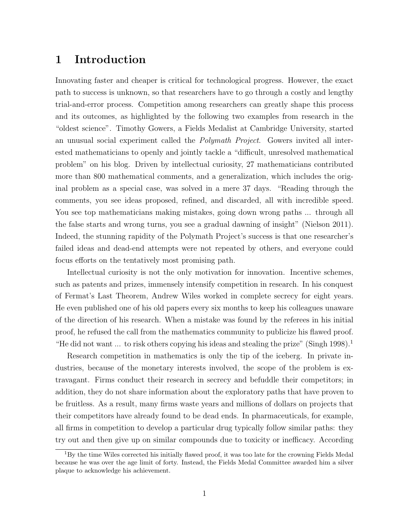# 1 Introduction

Innovating faster and cheaper is critical for technological progress. However, the exact path to success is unknown, so that researchers have to go through a costly and lengthy trial-and-error process. Competition among researchers can greatly shape this process and its outcomes, as highlighted by the following two examples from research in the "oldest science". Timothy Gowers, a Fields Medalist at Cambridge University, started an unusual social experiment called the Polymath Project. Gowers invited all interested mathematicians to openly and jointly tackle a "difficult, unresolved mathematical problem" on his blog. Driven by intellectual curiosity, 27 mathematicians contributed more than 800 mathematical comments, and a generalization, which includes the original problem as a special case, was solved in a mere 37 days. "Reading through the comments, you see ideas proposed, refined, and discarded, all with incredible speed. You see top mathematicians making mistakes, going down wrong paths ... through all the false starts and wrong turns, you see a gradual dawning of insight" (Nielson 2011). Indeed, the stunning rapidity of the Polymath Project's success is that one researcher's failed ideas and dead-end attempts were not repeated by others, and everyone could focus efforts on the tentatively most promising path.

Intellectual curiosity is not the only motivation for innovation. Incentive schemes, such as patents and prizes, immensely intensify competition in research. In his conquest of Fermat's Last Theorem, Andrew Wiles worked in complete secrecy for eight years. He even published one of his old papers every six months to keep his colleagues unaware of the direction of his research. When a mistake was found by the referees in his initial proof, he refused the call from the mathematics community to publicize his flawed proof. "He did not want ... to risk others copying his ideas and stealing the prize" (Singh  $1998$ ).<sup>1</sup>

Research competition in mathematics is only the tip of the iceberg. In private industries, because of the monetary interests involved, the scope of the problem is extravagant. Firms conduct their research in secrecy and befuddle their competitors; in addition, they do not share information about the exploratory paths that have proven to be fruitless. As a result, many firms waste years and millions of dollars on projects that their competitors have already found to be dead ends. In pharmaceuticals, for example, all firms in competition to develop a particular drug typically follow similar paths: they try out and then give up on similar compounds due to toxicity or inefficacy. According

<sup>1</sup>By the time Wiles corrected his initially flawed proof, it was too late for the crowning Fields Medal because he was over the age limit of forty. Instead, the Fields Medal Committee awarded him a silver plaque to acknowledge his achievement.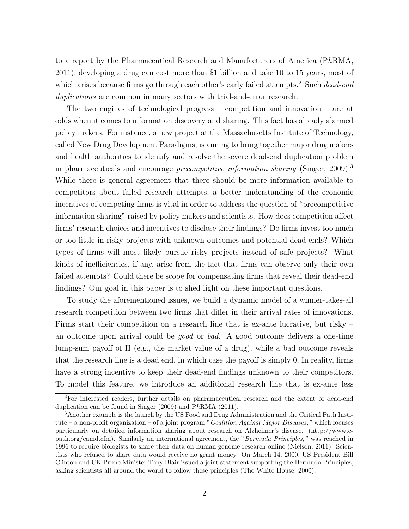to a report by the Pharmaceutical Research and Manufacturers of America (PhRMA, 2011), developing a drug can cost more than \$1 billion and take 10 to 15 years, most of which arises because firms go through each other's early failed attempts.<sup>2</sup> Such dead-end duplications are common in many sectors with trial-and-error research.

The two engines of technological progress – competition and innovation – are at odds when it comes to information discovery and sharing. This fact has already alarmed policy makers. For instance, a new project at the Massachusetts Institute of Technology, called New Drug Development Paradigms, is aiming to bring together major drug makers and health authorities to identify and resolve the severe dead-end duplication problem in pharmaceuticals and encourage *precompetitive information sharing* (Singer, 2009).<sup>3</sup> While there is general agreement that there should be more information available to competitors about failed research attempts, a better understanding of the economic incentives of competing firms is vital in order to address the question of "precompetitive information sharing" raised by policy makers and scientists. How does competition affect firms' research choices and incentives to disclose their findings? Do firms invest too much or too little in risky projects with unknown outcomes and potential dead ends? Which types of firms will most likely pursue risky projects instead of safe projects? What kinds of inefficiencies, if any, arise from the fact that firms can observe only their own failed attempts? Could there be scope for compensating firms that reveal their dead-end findings? Our goal in this paper is to shed light on these important questions.

To study the aforementioned issues, we build a dynamic model of a winner-takes-all research competition between two firms that differ in their arrival rates of innovations. Firms start their competition on a research line that is ex-ante lucrative, but risky – an outcome upon arrival could be good or bad. A good outcome delivers a one-time lump-sum payoff of  $\Pi$  (e.g., the market value of a drug), while a bad outcome reveals that the research line is a dead end, in which case the payoff is simply 0. In reality, firms have a strong incentive to keep their dead-end findings unknown to their competitors. To model this feature, we introduce an additional research line that is ex-ante less

<sup>2</sup>For interested readers, further details on pharamaceutical research and the extent of dead-end duplication can be found in Singer (2009) and PhRMA (2011).

<sup>3</sup>Another example is the launch by the US Food and Drug Administration and the Critical Path Institute – a non-profit organization – of a joint program "Coalition Against Major Diseases;" which focuses particularly on detailed information sharing about research on Alzheimer's disease. (http://www.cpath.org/camd.cfm). Similarly an international agreement, the "Bermuda Principles," was reached in 1996 to require biologists to share their data on human genome research online (Nielson, 2011). Scientists who refused to share data would receive no grant money. On March 14, 2000, US President Bill Clinton and UK Prime Minister Tony Blair issued a joint statement supporting the Bermuda Principles, asking scientists all around the world to follow these principles (The White House, 2000).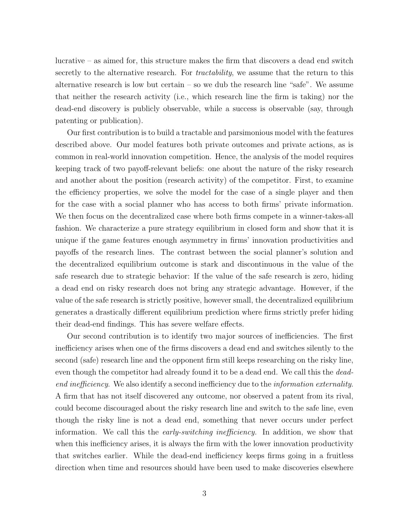lucrative – as aimed for, this structure makes the firm that discovers a dead end switch secretly to the alternative research. For *tractability*, we assume that the return to this alternative research is low but certain  $-$  so we dub the research line "safe". We assume that neither the research activity (i.e., which research line the firm is taking) nor the dead-end discovery is publicly observable, while a success is observable (say, through patenting or publication).

Our first contribution is to build a tractable and parsimonious model with the features described above. Our model features both private outcomes and private actions, as is common in real-world innovation competition. Hence, the analysis of the model requires keeping track of two payoff-relevant beliefs: one about the nature of the risky research and another about the position (research activity) of the competitor. First, to examine the efficiency properties, we solve the model for the case of a single player and then for the case with a social planner who has access to both firms' private information. We then focus on the decentralized case where both firms compete in a winner-takes-all fashion. We characterize a pure strategy equilibrium in closed form and show that it is unique if the game features enough asymmetry in firms' innovation productivities and payoffs of the research lines. The contrast between the social planner's solution and the decentralized equilibrium outcome is stark and discontinuous in the value of the safe research due to strategic behavior: If the value of the safe research is zero, hiding a dead end on risky research does not bring any strategic advantage. However, if the value of the safe research is strictly positive, however small, the decentralized equilibrium generates a drastically different equilibrium prediction where firms strictly prefer hiding their dead-end findings. This has severe welfare effects.

Our second contribution is to identify two major sources of inefficiencies. The first inefficiency arises when one of the firms discovers a dead end and switches silently to the second (safe) research line and the opponent firm still keeps researching on the risky line, even though the competitor had already found it to be a dead end. We call this the *dead*end inefficiency. We also identify a second inefficiency due to the *information externality*. A firm that has not itself discovered any outcome, nor observed a patent from its rival, could become discouraged about the risky research line and switch to the safe line, even though the risky line is not a dead end, something that never occurs under perfect information. We call this the early-switching inefficiency. In addition, we show that when this inefficiency arises, it is always the firm with the lower innovation productivity that switches earlier. While the dead-end inefficiency keeps firms going in a fruitless direction when time and resources should have been used to make discoveries elsewhere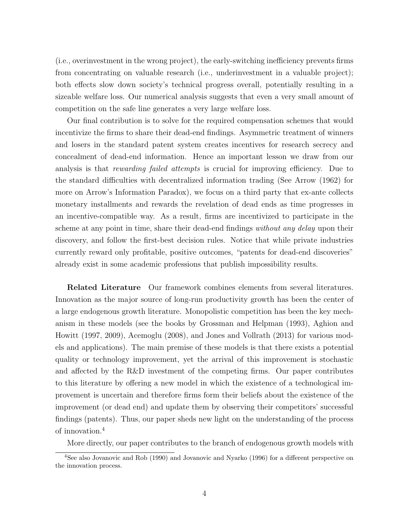(i.e., overinvestment in the wrong project), the early-switching inefficiency prevents firms from concentrating on valuable research (i.e., underinvestment in a valuable project); both effects slow down society's technical progress overall, potentially resulting in a sizeable welfare loss. Our numerical analysis suggests that even a very small amount of competition on the safe line generates a very large welfare loss.

Our final contribution is to solve for the required compensation schemes that would incentivize the firms to share their dead-end findings. Asymmetric treatment of winners and losers in the standard patent system creates incentives for research secrecy and concealment of dead-end information. Hence an important lesson we draw from our analysis is that *rewarding failed attempts* is crucial for improving efficiency. Due to the standard difficulties with decentralized information trading (See Arrow (1962) for more on Arrow's Information Paradox), we focus on a third party that ex-ante collects monetary installments and rewards the revelation of dead ends as time progresses in an incentive-compatible way. As a result, firms are incentivized to participate in the scheme at any point in time, share their dead-end findings *without any delay* upon their discovery, and follow the first-best decision rules. Notice that while private industries currently reward only profitable, positive outcomes, "patents for dead-end discoveries" already exist in some academic professions that publish impossibility results.

Related Literature Our framework combines elements from several literatures. Innovation as the major source of long-run productivity growth has been the center of a large endogenous growth literature. Monopolistic competition has been the key mechanism in these models (see the books by Grossman and Helpman (1993), Aghion and Howitt (1997, 2009), Acemoglu (2008), and Jones and Vollrath (2013) for various models and applications). The main premise of these models is that there exists a potential quality or technology improvement, yet the arrival of this improvement is stochastic and affected by the R&D investment of the competing firms. Our paper contributes to this literature by offering a new model in which the existence of a technological improvement is uncertain and therefore firms form their beliefs about the existence of the improvement (or dead end) and update them by observing their competitors' successful findings (patents). Thus, our paper sheds new light on the understanding of the process of innovation.<sup>4</sup>

More directly, our paper contributes to the branch of endogenous growth models with

<sup>4</sup>See also Jovanovic and Rob (1990) and Jovanovic and Nyarko (1996) for a different perspective on the innovation process.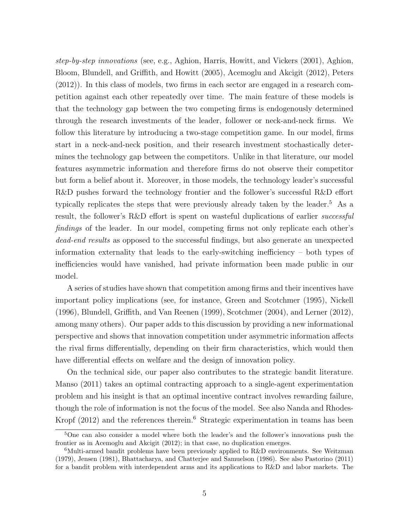step-by-step innovations (see, e.g., Aghion, Harris, Howitt, and Vickers (2001), Aghion, Bloom, Blundell, and Griffith, and Howitt (2005), Acemoglu and Akcigit (2012), Peters (2012)). In this class of models, two firms in each sector are engaged in a research competition against each other repeatedly over time. The main feature of these models is that the technology gap between the two competing firms is endogenously determined through the research investments of the leader, follower or neck-and-neck firms. We follow this literature by introducing a two-stage competition game. In our model, firms start in a neck-and-neck position, and their research investment stochastically determines the technology gap between the competitors. Unlike in that literature, our model features asymmetric information and therefore firms do not observe their competitor but form a belief about it. Moreover, in those models, the technology leader's successful R&D pushes forward the technology frontier and the follower's successful R&D effort typically replicates the steps that were previously already taken by the leader.<sup>5</sup> As a result, the follower's R&D effort is spent on wasteful duplications of earlier *successful* findings of the leader. In our model, competing firms not only replicate each other's dead-end results as opposed to the successful findings, but also generate an unexpected information externality that leads to the early-switching inefficiency – both types of inefficiencies would have vanished, had private information been made public in our model.

A series of studies have shown that competition among firms and their incentives have important policy implications (see, for instance, Green and Scotchmer (1995), Nickell (1996), Blundell, Griffith, and Van Reenen (1999), Scotchmer (2004), and Lerner (2012), among many others). Our paper adds to this discussion by providing a new informational perspective and shows that innovation competition under asymmetric information affects the rival firms differentially, depending on their firm characteristics, which would then have differential effects on welfare and the design of innovation policy.

On the technical side, our paper also contributes to the strategic bandit literature. Manso (2011) takes an optimal contracting approach to a single-agent experimentation problem and his insight is that an optimal incentive contract involves rewarding failure, though the role of information is not the focus of the model. See also Nanda and Rhodes-Kropf  $(2012)$  and the references therein.<sup>6</sup> Strategic experimentation in teams has been

<sup>5</sup>One can also consider a model where both the leader's and the follower's innovations push the frontier as in Acemoglu and Akcigit (2012); in that case, no duplication emerges.

 ${}^{6}$ Multi-armed bandit problems have been previously applied to R&D environments. See Weitzman (1979), Jensen (1981), Bhattacharya, and Chatterjee and Samuelson (1986). See also Pastorino (2011) for a bandit problem with interdependent arms and its applications to R&D and labor markets. The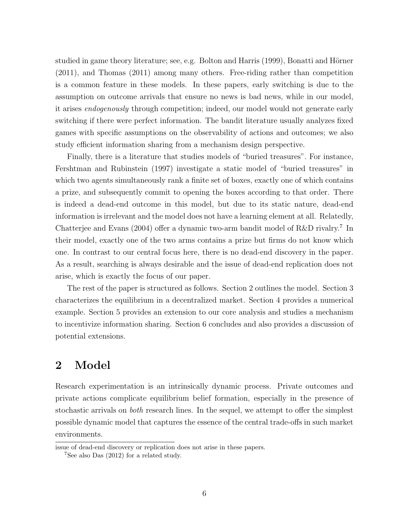studied in game theory literature; see, e.g. Bolton and Harris  $(1999)$ , Bonatti and Hörner (2011), and Thomas (2011) among many others. Free-riding rather than competition is a common feature in these models. In these papers, early switching is due to the assumption on outcome arrivals that ensure no news is bad news, while in our model, it arises endogenously through competition; indeed, our model would not generate early switching if there were perfect information. The bandit literature usually analyzes fixed games with specific assumptions on the observability of actions and outcomes; we also study efficient information sharing from a mechanism design perspective.

Finally, there is a literature that studies models of "buried treasures". For instance, Fershtman and Rubinstein (1997) investigate a static model of "buried treasures" in which two agents simultaneously rank a finite set of boxes, exactly one of which contains a prize, and subsequently commit to opening the boxes according to that order. There is indeed a dead-end outcome in this model, but due to its static nature, dead-end information is irrelevant and the model does not have a learning element at all. Relatedly, Chatterjee and Evans (2004) offer a dynamic two-arm bandit model of R&D rivalry.<sup>7</sup> In their model, exactly one of the two arms contains a prize but firms do not know which one. In contrast to our central focus here, there is no dead-end discovery in the paper. As a result, searching is always desirable and the issue of dead-end replication does not arise, which is exactly the focus of our paper.

The rest of the paper is structured as follows. Section 2 outlines the model. Section 3 characterizes the equilibrium in a decentralized market. Section 4 provides a numerical example. Section 5 provides an extension to our core analysis and studies a mechanism to incentivize information sharing. Section 6 concludes and also provides a discussion of potential extensions.

# 2 Model

Research experimentation is an intrinsically dynamic process. Private outcomes and private actions complicate equilibrium belief formation, especially in the presence of stochastic arrivals on both research lines. In the sequel, we attempt to offer the simplest possible dynamic model that captures the essence of the central trade-offs in such market environments.

issue of dead-end discovery or replication does not arise in these papers.

<sup>7</sup>See also Das (2012) for a related study.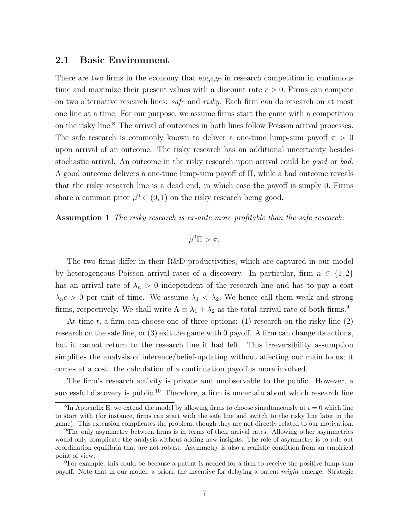#### 2.1 Basic Environment

There are two firms in the economy that engage in research competition in continuous time and maximize their present values with a discount rate  $r > 0$ . Firms can compete on two alternative research lines: safe and risky. Each firm can do research on at most one line at a time. For our purpose, we assume firms start the game with a competition on the risky line.<sup>8</sup> The arrival of outcomes in both lines follow Poisson arrival processes. The safe research is commonly known to deliver a one-time lump-sum payoff  $\pi > 0$ upon arrival of an outcome. The risky research has an additional uncertainty besides stochastic arrival. An outcome in the risky research upon arrival could be good or bad. A good outcome delivers a one-time lump-sum payoff of Π, while a bad outcome reveals that the risky research line is a dead end, in which case the payoff is simply 0. Firms share a common prior  $\mu^0 \in (0,1)$  on the risky research being good.

Assumption 1 The risky research is ex-ante more profitable than the safe research:

 $\mu^0 \Pi > \pi$ .

The two firms differ in their R&D productivities, which are captured in our model by heterogeneous Poisson arrival rates of a discovery. In particular, firm  $n \in \{1,2\}$ has an arrival rate of  $\lambda_n > 0$  independent of the research line and has to pay a cost  $\lambda_n c > 0$  per unit of time. We assume  $\lambda_1 < \lambda_2$ . We hence call them weak and strong firms, respectively. We shall write  $\Lambda \equiv \lambda_1 + \lambda_2$  as the total arrival rate of both firms.<sup>9</sup>

At time t, a firm can choose one of three options: (1) research on the risky line (2) research on the safe line, or (3) exit the game with 0 payoff. A firm can change its actions, but it cannot return to the research line it had left. This irreversibility assumption simplifies the analysis of inference/belief-updating without affecting our main focus; it comes at a cost: the calculation of a continuation payoff is more involved.

The firm's research activity is private and unobservable to the public. However, a successful discovery is public.<sup>10</sup> Therefore, a firm is uncertain about which research line

<sup>&</sup>lt;sup>8</sup>In Appendix E, we extend the model by allowing firms to choose simultaneously at  $t = 0$  which line to start with (for instance, firms can start with the safe line and switch to the risky line later in the game). This extension complicates the problem, though they are not directly related to our motivation.

<sup>9</sup>The only asymmetry between firms is in terms of their arrival rates. Allowing other asymmetries would only complicate the analysis without adding new insights. The role of asymmetry is to rule out coordination equilibria that are not robust. Asymmetry is also a realistic condition from an empirical point of view.

 $10$ For example, this could be because a patent is needed for a firm to receive the positive lump-sum payoff. Note that in our model, a priori, the incentive for delaying a patent might emerge. Strategic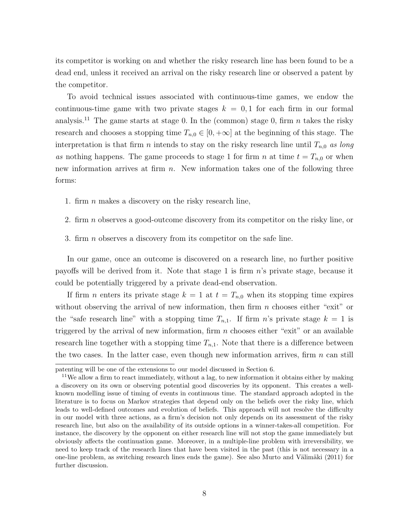its competitor is working on and whether the risky research line has been found to be a dead end, unless it received an arrival on the risky research line or observed a patent by the competitor.

To avoid technical issues associated with continuous-time games, we endow the continuous-time game with two private stages  $k = 0, 1$  for each firm in our formal analysis.<sup>11</sup> The game starts at stage 0. In the (common) stage 0, firm *n* takes the risky research and chooses a stopping time  $T_{n,0} \in [0, +\infty]$  at the beginning of this stage. The interpretation is that firm *n* intends to stay on the risky research line until  $T_{n,0}$  as long as nothing happens. The game proceeds to stage 1 for firm n at time  $t = T_{n,0}$  or when new information arrives at firm n. New information takes one of the following three forms:

- 1. firm  $n$  makes a discovery on the risky research line,
- 2. firm n observes a good-outcome discovery from its competitor on the risky line, or
- 3. firm n observes a discovery from its competitor on the safe line.

In our game, once an outcome is discovered on a research line, no further positive payoffs will be derived from it. Note that stage 1 is firm  $n$ 's private stage, because it could be potentially triggered by a private dead-end observation.

If firm *n* enters its private stage  $k = 1$  at  $t = T_{n,0}$  when its stopping time expires without observing the arrival of new information, then firm  $n$  chooses either "exit" or the "safe research line" with a stopping time  $T_{n,1}$ . If firm n's private stage  $k = 1$  is triggered by the arrival of new information, firm  $n$  chooses either "exit" or an available research line together with a stopping time  $T_{n,1}$ . Note that there is a difference between the two cases. In the latter case, even though new information arrives, firm  $n$  can still

patenting will be one of the extensions to our model discussed in Section 6.

<sup>&</sup>lt;sup>11</sup>We allow a firm to react immediately, without a lag, to new information it obtains either by making a discovery on its own or observing potential good discoveries by its opponent. This creates a wellknown modelling issue of timing of events in continuous time. The standard approach adopted in the literature is to focus on Markov strategies that depend only on the beliefs over the risky line, which leads to well-defined outcomes and evolution of beliefs. This approach will not resolve the difficulty in our model with three actions, as a firm's decision not only depends on its assessment of the risky research line, but also on the availability of its outside options in a winner-takes-all competition. For instance, the discovery by the opponent on either research line will not stop the game immediately but obviously affects the continuation game. Moreover, in a multiple-line problem with irreversibility, we need to keep track of the research lines that have been visited in the past (this is not necessary in a one-line problem, as switching research lines ends the game). See also Murto and Välimäki (2011) for further discussion.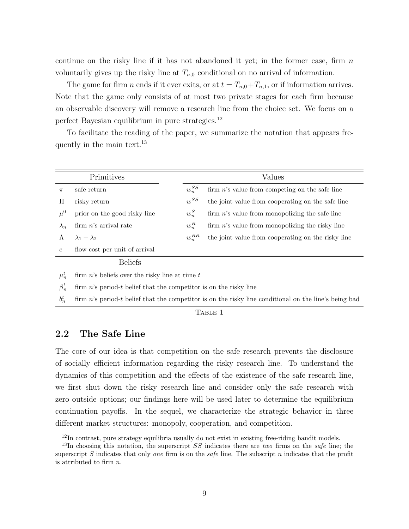continue on the risky line if it has not abandoned it yet; in the former case, firm  $n$ voluntarily gives up the risky line at  $T_{n,0}$  conditional on no arrival of information.

The game for firm *n* ends if it ever exits, or at  $t = T_{n,0} + T_{n,1}$ , or if information arrives. Note that the game only consists of at most two private stages for each firm because an observable discovery will remove a research line from the choice set. We focus on a perfect Bayesian equilibrium in pure strategies.<sup>12</sup>

To facilitate the reading of the paper, we summarize the notation that appears frequently in the main text.<sup>13</sup>

| Primitives     |                                                                      | Values     |                                                    |  |  |
|----------------|----------------------------------------------------------------------|------------|----------------------------------------------------|--|--|
| $\pi$          | safe return                                                          | $w_n^{SS}$ | firm $n$ 's value from competing on the safe line  |  |  |
| П              | risky return                                                         | $w^{SS}$   | the joint value from cooperating on the safe line  |  |  |
| $\mu^0$        | prior on the good risky line                                         | $w_n^S$    | firm $n$ 's value from monopolizing the safe line  |  |  |
| $\lambda_n$    | firm $n$ 's arrival rate                                             | $w_n^R$    | firm $n$ 's value from monopolizing the risky line |  |  |
| $\Lambda$      | $\lambda_1 + \lambda_2$                                              | $w_n^{RR}$ | the joint value from cooperating on the risky line |  |  |
| $\mathfrak{c}$ | flow cost per unit of arrival                                        |            |                                                    |  |  |
|                | <b>Beliefs</b>                                                       |            |                                                    |  |  |
| $\mu_n^t$      | firm $n$ 's beliefs over the risky line at time $t$                  |            |                                                    |  |  |
| $\beta_n^t$    | firm $n$ 's period-t belief that the competitor is on the risky line |            |                                                    |  |  |

 $b_r^t$ firm  $n$ 's period-t belief that the competitor is on the risky line conditional on the line's being bad

TABLE 1

### 2.2 The Safe Line

The core of our idea is that competition on the safe research prevents the disclosure of socially efficient information regarding the risky research line. To understand the dynamics of this competition and the effects of the existence of the safe research line, we first shut down the risky research line and consider only the safe research with zero outside options; our findings here will be used later to determine the equilibrium continuation payoffs. In the sequel, we characterize the strategic behavior in three different market structures: monopoly, cooperation, and competition.

<sup>&</sup>lt;sup>12</sup>In contrast, pure strategy equilibria usually do not exist in existing free-riding bandit models.

<sup>&</sup>lt;sup>13</sup>In choosing this notation, the superscript SS indicates there are two firms on the safe line; the superscript S indicates that only one firm is on the safe line. The subscript n indicates that the profit is attributed to firm n.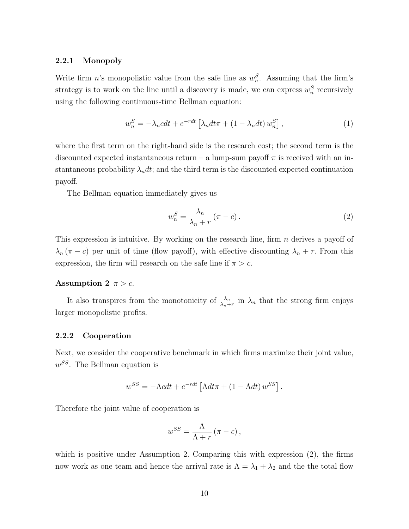#### 2.2.1 Monopoly

Write firm *n*'s monopolistic value from the safe line as  $w_n^S$ . Assuming that the firm's strategy is to work on the line until a discovery is made, we can express  $w_n^S$  recursively using the following continuous-time Bellman equation:

$$
w_n^S = -\lambda_n c dt + e^{-r dt} \left[ \lambda_n dt \pi + (1 - \lambda_n dt) w_n^S \right],
$$
 (1)

where the first term on the right-hand side is the research cost; the second term is the discounted expected instantaneous return – a lump-sum payoff  $\pi$  is received with an instantaneous probability  $\lambda_n dt$ ; and the third term is the discounted expected continuation payoff.

The Bellman equation immediately gives us

$$
w_n^S = \frac{\lambda_n}{\lambda_n + r} \left( \pi - c \right). \tag{2}
$$

This expression is intuitive. By working on the research line, firm  $n$  derives a payoff of  $\lambda_n (\pi - c)$  per unit of time (flow payoff), with effective discounting  $\lambda_n + r$ . From this expression, the firm will research on the safe line if  $\pi > c$ .

#### Assumption 2  $\pi > c$ .

It also transpires from the monotonicity of  $\frac{\lambda_n}{\lambda_n+r}$  in  $\lambda_n$  that the strong firm enjoys larger monopolistic profits.

#### 2.2.2 Cooperation

Next, we consider the cooperative benchmark in which firms maximize their joint value,  $w^{SS}$ . The Bellman equation is

$$
w^{SS} = -\Lambda c dt + e^{-r dt} \left[ \Lambda dt \pi + (1 - \Lambda dt) w^{SS} \right].
$$

Therefore the joint value of cooperation is

$$
w^{SS} = \frac{\Lambda}{\Lambda + r} \left( \pi - c \right),
$$

which is positive under Assumption 2. Comparing this with expression  $(2)$ , the firms now work as one team and hence the arrival rate is  $\Lambda = \lambda_1 + \lambda_2$  and the total flow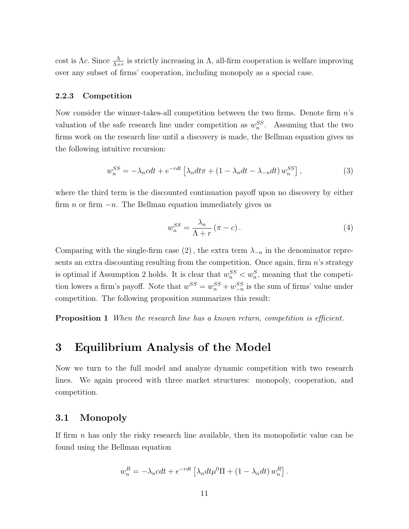cost is  $\Lambda c$ . Since  $\frac{\Lambda}{\Lambda+r}$  is strictly increasing in  $\Lambda$ , all-firm cooperation is welfare improving over any subset of firms' cooperation, including monopoly as a special case.

#### 2.2.3 Competition

Now consider the winner-takes-all competition between the two firms. Denote firm n's valuation of the safe research line under competition as  $w_n^{SS}$ . Assuming that the two firms work on the research line until a discovery is made, the Bellman equation gives us the following intuitive recursion:

$$
w_n^{SS} = -\lambda_n c dt + e^{-r dt} \left[ \lambda_n dt \pi + (1 - \lambda_n dt - \lambda_{-n} dt) w_n^{SS} \right],
$$
 (3)

where the third term is the discounted continuation payoff upon no discovery by either firm *n* or firm  $-n$ . The Bellman equation immediately gives us

$$
w_n^{SS} = \frac{\lambda_n}{\Lambda + r} \left( \pi - c \right). \tag{4}
$$

Comparing with the single-firm case (2), the extra term  $\lambda_{-n}$  in the denominator represents an extra discounting resulting from the competition. Once again, firm  $n$ 's strategy is optimal if Assumption 2 holds. It is clear that  $w_n^{SS} < w_n^S$ , meaning that the competition lowers a firm's payoff. Note that  $w^{SS} = w_n^{SS} + w_{-n}^{SS}$  is the sum of firms' value under competition. The following proposition summarizes this result:

Proposition 1 When the research line has a known return, competition is efficient.

# 3 Equilibrium Analysis of the Model

Now we turn to the full model and analyze dynamic competition with two research lines. We again proceed with three market structures: monopoly, cooperation, and competition.

#### 3.1 Monopoly

If firm  $n$  has only the risky research line available, then its monopolistic value can be found using the Bellman equation

$$
w_n^R = -\lambda_n c dt + e^{-r dt} \left[ \lambda_n dt \mu^0 \Pi + (1 - \lambda_n dt) w_n^R \right].
$$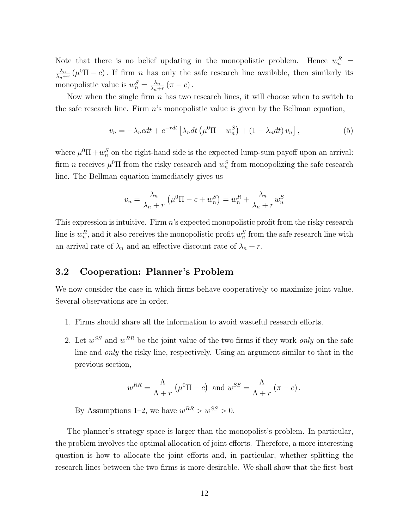Note that there is no belief updating in the monopolistic problem. Hence  $w_n^R$  =  $\lambda_n$  $\frac{\lambda_n}{\lambda_n+r}(\mu^0\Pi-c)$ . If firm *n* has only the safe research line available, then similarly its monopolistic value is  $w_n^S = \frac{\lambda_n}{\lambda_n + \lambda_n}$  $\frac{\lambda_n}{\lambda_n+r}(\pi-c)$ .

Now when the single firm  $n$  has two research lines, it will choose when to switch to the safe research line. Firm  $n$ 's monopolistic value is given by the Bellman equation,

$$
v_n = -\lambda_n c dt + e^{-r dt} \left[ \lambda_n dt \left( \mu^0 \Pi + w_n^S \right) + \left( 1 - \lambda_n dt \right) v_n \right],
$$
 (5)

where  $\mu^0 \Pi + w_n^S$  on the right-hand side is the expected lump-sum payoff upon an arrival: firm *n* receives  $\mu^0 \Pi$  from the risky research and  $w_n^S$  from monopolizing the safe research line. The Bellman equation immediately gives us

$$
v_n = \frac{\lambda_n}{\lambda_n + r} \left( \mu^0 \Pi - c + w_n^S \right) = w_n^R + \frac{\lambda_n}{\lambda_n + r} w_n^S
$$

This expression is intuitive. Firm n's expected monopolistic profit from the risky research line is  $w_n^R$ , and it also receives the monopolistic profit  $w_n^S$  from the safe research line with an arrival rate of  $\lambda_n$  and an effective discount rate of  $\lambda_n + r$ .

### 3.2 Cooperation: Planner's Problem

We now consider the case in which firms behave cooperatively to maximize joint value. Several observations are in order.

- 1. Firms should share all the information to avoid wasteful research efforts.
- 2. Let  $w^{SS}$  and  $w^{RR}$  be the joint value of the two firms if they work only on the safe line and only the risky line, respectively. Using an argument similar to that in the previous section,

$$
w^{RR} = \frac{\Lambda}{\Lambda + r} \left( \mu^0 \Pi - c \right) \text{ and } w^{SS} = \frac{\Lambda}{\Lambda + r} \left( \pi - c \right).
$$

By Assumptions 1–2, we have  $w^{RR} > w^{SS} > 0$ .

The planner's strategy space is larger than the monopolist's problem. In particular, the problem involves the optimal allocation of joint efforts. Therefore, a more interesting question is how to allocate the joint efforts and, in particular, whether splitting the research lines between the two firms is more desirable. We shall show that the first best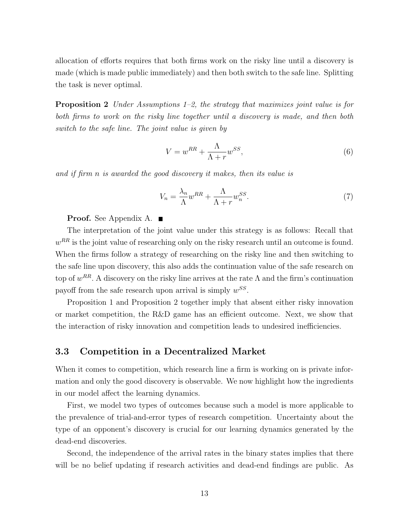allocation of efforts requires that both firms work on the risky line until a discovery is made (which is made public immediately) and then both switch to the safe line. Splitting the task is never optimal.

**Proposition 2** Under Assumptions 1–2, the strategy that maximizes joint value is for both firms to work on the risky line together until a discovery is made, and then both switch to the safe line. The joint value is given by

$$
V = w^{RR} + \frac{\Lambda}{\Lambda + r} w^{SS},\tag{6}
$$

and if firm n is awarded the good discovery it makes, then its value is

$$
V_n = \frac{\lambda_n}{\Lambda} w^{RR} + \frac{\Lambda}{\Lambda + r} w_n^{SS}.
$$
\n<sup>(7)</sup>

**Proof.** See Appendix A. ■

The interpretation of the joint value under this strategy is as follows: Recall that  $w^{RR}$  is the joint value of researching only on the risky research until an outcome is found. When the firms follow a strategy of researching on the risky line and then switching to the safe line upon discovery, this also adds the continuation value of the safe research on top of  $w^{RR}$ . A discovery on the risky line arrives at the rate  $\Lambda$  and the firm's continuation payoff from the safe research upon arrival is simply  $w^{SS}$ .

Proposition 1 and Proposition 2 together imply that absent either risky innovation or market competition, the R&D game has an efficient outcome. Next, we show that the interaction of risky innovation and competition leads to undesired inefficiencies.

#### 3.3 Competition in a Decentralized Market

When it comes to competition, which research line a firm is working on is private information and only the good discovery is observable. We now highlight how the ingredients in our model affect the learning dynamics.

First, we model two types of outcomes because such a model is more applicable to the prevalence of trial-and-error types of research competition. Uncertainty about the type of an opponent's discovery is crucial for our learning dynamics generated by the dead-end discoveries.

Second, the independence of the arrival rates in the binary states implies that there will be no belief updating if research activities and dead-end findings are public. As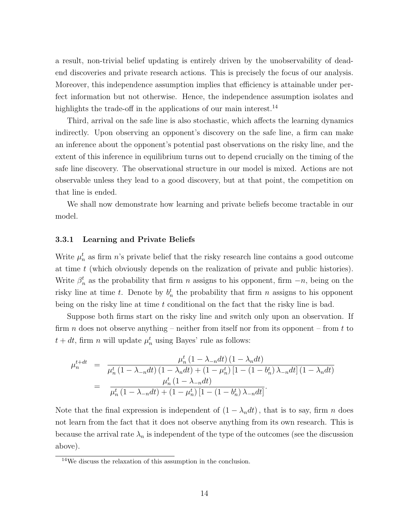a result, non-trivial belief updating is entirely driven by the unobservability of deadend discoveries and private research actions. This is precisely the focus of our analysis. Moreover, this independence assumption implies that efficiency is attainable under perfect information but not otherwise. Hence, the independence assumption isolates and highlights the trade-off in the applications of our main interest.<sup>14</sup>

Third, arrival on the safe line is also stochastic, which affects the learning dynamics indirectly. Upon observing an opponent's discovery on the safe line, a firm can make an inference about the opponent's potential past observations on the risky line, and the extent of this inference in equilibrium turns out to depend crucially on the timing of the safe line discovery. The observational structure in our model is mixed. Actions are not observable unless they lead to a good discovery, but at that point, the competition on that line is ended.

We shall now demonstrate how learning and private beliefs become tractable in our model.

#### 3.3.1 Learning and Private Beliefs

Write  $\mu_n^t$  as firm n's private belief that the risky research line contains a good outcome at time t (which obviously depends on the realization of private and public histories). Write  $\beta_r^t$  $\frac{t}{n}$  as the probability that firm n assigns to his opponent, firm  $-n$ , being on the risky line at time t. Denote by  $b_n^t$  the probability that firm n assigns to his opponent being on the risky line at time t conditional on the fact that the risky line is bad.

Suppose both firms start on the risky line and switch only upon an observation. If firm n does not observe anything – neither from itself nor from its opponent – from t to  $t + dt$ , firm *n* will update  $\mu_n^t$  using Bayes' rule as follows:

$$
\mu_n^{t+dt} = \frac{\mu_n^t (1 - \lambda_{-n} dt) (1 - \lambda_n dt)}{\mu_n^t (1 - \lambda_{-n} dt) (1 - \lambda_n dt) + (1 - \mu_n^t) [1 - (1 - b_n^t) \lambda_{-n} dt] (1 - \lambda_n dt)}
$$
  
= 
$$
\frac{\mu_n^t (1 - \lambda_{-n} dt)}{\mu_n^t (1 - \lambda_{-n} dt) + (1 - \mu_n^t) [1 - (1 - b_n^t) \lambda_{-n} dt]}.
$$

Note that the final expression is independent of  $(1 - \lambda_n dt)$ , that is to say, firm n does not learn from the fact that it does not observe anything from its own research. This is because the arrival rate  $\lambda_n$  is independent of the type of the outcomes (see the discussion above).

<sup>14</sup>We discuss the relaxation of this assumption in the conclusion.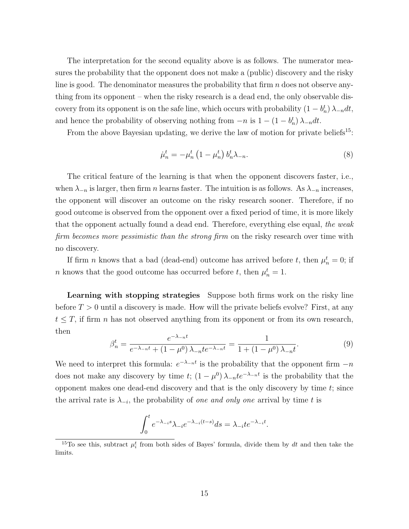The interpretation for the second equality above is as follows. The numerator measures the probability that the opponent does not make a (public) discovery and the risky line is good. The denominator measures the probability that firm  $n$  does not observe anything from its opponent – when the risky research is a dead end, the only observable discovery from its opponent is on the safe line, which occurs with probability  $(1 - b_n^t) \lambda_{-n} dt$ , and hence the probability of observing nothing from  $-n$  is  $1 - (1 - b_n^t) \lambda_{-n} dt$ .

From the above Bayesian updating, we derive the law of motion for private beliefs<sup>15</sup>:

$$
\dot{\mu}_n^t = -\mu_n^t \left(1 - \mu_n^t\right) b_n^t \lambda_{-n}.\tag{8}
$$

The critical feature of the learning is that when the opponent discovers faster, i.e., when  $\lambda_{-n}$  is larger, then firm *n* learns faster. The intuition is as follows. As  $\lambda_{-n}$  increases, the opponent will discover an outcome on the risky research sooner. Therefore, if no good outcome is observed from the opponent over a fixed period of time, it is more likely that the opponent actually found a dead end. Therefore, everything else equal, the weak firm becomes more pessimistic than the strong firm on the risky research over time with no discovery.

If firm *n* knows that a bad (dead-end) outcome has arrived before *t*, then  $\mu_n^t = 0$ ; if *n* knows that the good outcome has occurred before *t*, then  $\mu_n^t = 1$ .

Learning with stopping strategies Suppose both firms work on the risky line before  $T > 0$  until a discovery is made. How will the private beliefs evolve? First, at any  $t \leq T$ , if firm *n* has not observed anything from its opponent or from its own research, then

$$
\beta_n^t = \frac{e^{-\lambda_{-n}t}}{e^{-\lambda_{-n}t} + (1 - \mu^0)\lambda_{-n}te^{-\lambda_{-n}t}} = \frac{1}{1 + (1 - \mu^0)\lambda_{-n}t}.
$$
\n(9)

We need to interpret this formula:  $e^{-\lambda_{-n}t}$  is the probability that the opponent firm  $-n$ does not make any discovery by time t;  $(1 - \mu^0) \lambda_{-n} t e^{-\lambda_{-n} t}$  is the probability that the opponent makes one dead-end discovery and that is the only discovery by time  $t$ ; since the arrival rate is  $\lambda_{-i}$ , the probability of one and only one arrival by time t is

$$
\int_0^t e^{-\lambda_{-i}s}\lambda_{-i}e^{-\lambda_{-i}(t-s)}ds = \lambda_{-i}te^{-\lambda_{-i}t}.
$$

<sup>&</sup>lt;sup>15</sup>To see this, subtract  $\mu_i^t$  from both sides of Bayes' formula, divide them by dt and then take the limits.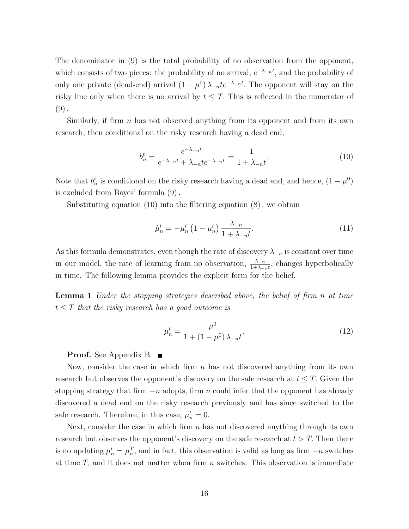The denominator in (9) is the total probability of no observation from the opponent, which consists of two pieces: the probability of no arrival,  $e^{-\lambda_{-n}t}$ , and the probability of only one private (dead-end) arrival  $(1 - \mu^0) \lambda_{-n} t e^{-\lambda_{-n} t}$ . The opponent will stay on the risky line only when there is no arrival by  $t \leq T$ . This is reflected in the numerator of  $(9)$ .

Similarly, if firm  $n$  has not observed anything from its opponent and from its own research, then conditional on the risky research having a dead end,

$$
b_n^t = \frac{e^{-\lambda_{-n}t}}{e^{-\lambda_{-n}t} + \lambda_{-n}te^{-\lambda_{-n}t}} = \frac{1}{1 + \lambda_{-n}t}.
$$
\n(10)

Note that  $b_n^t$  is conditional on the risky research having a dead end, and hence,  $(1 - \mu^0)$ is excluded from Bayes' formula (9).

Substituting equation (10) into the filtering equation (8), we obtain

$$
\dot{\mu}_n^t = -\mu_n^t \left(1 - \mu_n^t\right) \frac{\lambda_{-n}}{1 + \lambda_{-n}t}.\tag{11}
$$

As this formula demonstrates, even though the rate of discovery  $\lambda_{-n}$  is constant over time in our model, the rate of learning from no observation,  $\frac{\lambda_{-n}}{1+\lambda_{-n}t}$ , changes hyperbolically in time. The following lemma provides the explicit form for the belief.

Lemma 1 Under the stopping strategies described above, the belief of firm n at time  $t \leq T$  that the risky research has a good outcome is

$$
\mu_n^t = \frac{\mu^0}{1 + (1 - \mu^0) \lambda_{-n} t}.
$$
\n(12)

**Proof.** See Appendix B. ■

Now, consider the case in which firm  $n$  has not discovered anything from its own research but observes the opponent's discovery on the safe research at  $t \leq T$ . Given the stopping strategy that firm  $-n$  adopts, firm n could infer that the opponent has already discovered a dead end on the risky research previously and has since switched to the safe research. Therefore, in this case,  $\mu_n^t = 0$ .

Next, consider the case in which firm  $n$  has not discovered anything through its own research but observes the opponent's discovery on the safe research at  $t > T$ . Then there is no updating  $\mu_n^t = \mu_n^T$ , and in fact, this observation is valid as long as firm  $-n$  switches at time  $T$ , and it does not matter when firm  $n$  switches. This observation is immediate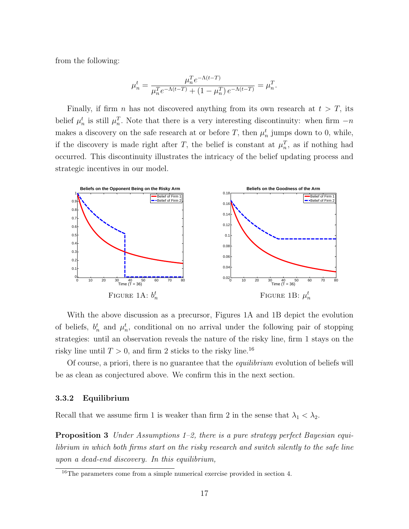from the following:

$$
\mu_n^t = \frac{\mu_n^T e^{-\Lambda(t-T)}}{\mu_n^T e^{-\Lambda(t-T)} + (1 - \mu_n^T) e^{-\Lambda(t-T)}} = \mu_n^T.
$$

Finally, if firm *n* has not discovered anything from its own research at  $t > T$ , its belief  $\mu_n^t$  is still  $\mu_n^T$ . Note that there is a very interesting discontinuity: when firm  $-n$ makes a discovery on the safe research at or before T, then  $\mu_n^t$  jumps down to 0, while, if the discovery is made right after T, the belief is constant at  $\mu_n^T$ , as if nothing had occurred. This discontinuity illustrates the intricacy of the belief updating process and strategic incentives in our model.



With the above discussion as a precursor, Figures 1A and 1B depict the evolution of beliefs,  $b_n^t$  and  $\mu_n^t$ , conditional on no arrival under the following pair of stopping strategies: until an observation reveals the nature of the risky line, firm 1 stays on the risky line until  $T > 0$ , and firm 2 sticks to the risky line.<sup>16</sup>

Of course, a priori, there is no guarantee that the equilibrium evolution of beliefs will be as clean as conjectured above. We confirm this in the next section.

#### 3.3.2 Equilibrium

Recall that we assume firm 1 is weaker than firm 2 in the sense that  $\lambda_1 < \lambda_2$ .

**Proposition 3** Under Assumptions 1–2, there is a pure strategy perfect Bayesian equilibrium in which both firms start on the risky research and switch silently to the safe line upon a dead-end discovery. In this equilibrium,

<sup>&</sup>lt;sup>16</sup>The parameters come from a simple numerical exercise provided in section 4.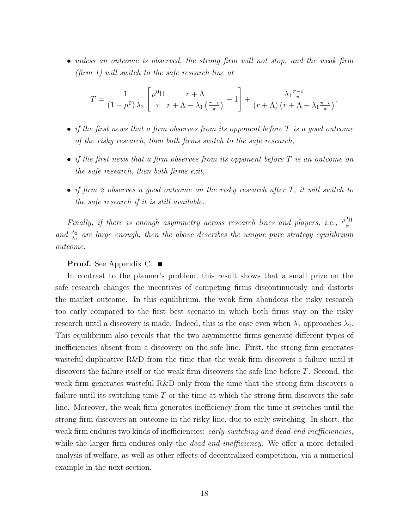• unless an outcome is observed, the strong firm will not stop, and the weak firm (firm 1) will switch to the safe research line at

$$
T = \frac{1}{\left(1 - \mu^0\right) \lambda_2} \left[ \frac{\mu^0 \Pi}{\pi} \frac{r + \Lambda}{r + \Lambda - \lambda_1 \left(\frac{\pi - c}{\pi}\right)} - 1 \right] + \frac{\lambda_1 \frac{\pi - c}{\pi}}{\left(r + \Lambda\right) \left(r + \Lambda - \lambda_1 \frac{\pi - c}{\pi}\right)},
$$

- if the first news that a firm observes from its opponent before  $T$  is a good outcome of the risky research, then both firms switch to the safe research,
- if the first news that a firm observes from its opponent before  $T$  is an outcome on the safe research, then both firms exit,
- if firm 2 observes a good outcome on the risky research after  $T$ , it will switch to the safe research if it is still available.

Finally, if there is enough asymmetry across research lines and players, i.e.,  $\frac{\mu^0 \Pi}{\pi}$ π and  $\frac{\lambda_2}{\lambda_1}$  are large enough, then the above describes the unique pure strategy equilibrium outcome.

#### **Proof.** See Appendix C. ■

In contrast to the planner's problem, this result shows that a small prize on the safe research changes the incentives of competing firms discontinuously and distorts the market outcome. In this equilibrium, the weak firm abandons the risky research too early compared to the first best scenario in which both firms stay on the risky research until a discovery is made. Indeed, this is the case even when  $\lambda_1$  approaches  $\lambda_2$ . This equilibrium also reveals that the two asymmetric firms generate different types of inefficiencies absent from a discovery on the safe line. First, the strong firm generates wasteful duplicative R&D from the time that the weak firm discovers a failure until it discovers the failure itself or the weak firm discovers the safe line before T. Second, the weak firm generates wasteful R&D only from the time that the strong firm discovers a failure until its switching time  $T$  or the time at which the strong firm discovers the safe line. Moreover, the weak firm generates inefficiency from the time it switches until the strong firm discovers an outcome in the risky line, due to early switching. In short, the weak firm endures two kinds of inefficiencies: early-switching and dead-end inefficiencies, while the larger firm endures only the *dead-end inefficiency*. We offer a more detailed analysis of welfare, as well as other effects of decentralized competition, via a numerical example in the next section.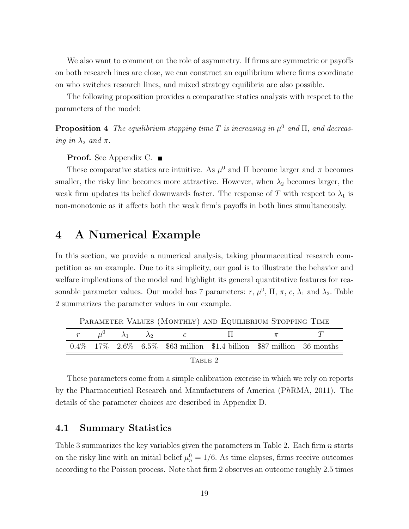We also want to comment on the role of asymmetry. If firms are symmetric or payoffs on both research lines are close, we can construct an equilibrium where firms coordinate on who switches research lines, and mixed strategy equilibria are also possible.

The following proposition provides a comparative statics analysis with respect to the parameters of the model:

**Proposition 4** The equilibrium stopping time T is increasing in  $\mu^0$  and  $\Pi$ , and decreasing in  $\lambda_2$  and  $\pi$ .

**Proof.** See Appendix C. ■

These comparative statics are intuitive. As  $\mu^0$  and  $\Pi$  become larger and  $\pi$  becomes smaller, the risky line becomes more attractive. However, when  $\lambda_2$  becomes larger, the weak firm updates its belief downwards faster. The response of T with respect to  $\lambda_1$  is non-monotonic as it affects both the weak firm's payoffs in both lines simultaneously.

# 4 A Numerical Example

In this section, we provide a numerical analysis, taking pharmaceutical research competition as an example. Due to its simplicity, our goal is to illustrate the behavior and welfare implications of the model and highlight its general quantitative features for reasonable parameter values. Our model has 7 parameters:  $r, \mu^0, \Pi, \pi, c, \lambda_1$  and  $\lambda_2$ . Table 2 summarizes the parameter values in our example.

| PARAMETER VALUES (MONTHLY) AND EQUILIBRIUM STOPPING TIME |  |  |  |  |                                                                                                                 |  |  |
|----------------------------------------------------------|--|--|--|--|-----------------------------------------------------------------------------------------------------------------|--|--|
|                                                          |  |  |  |  | $r \qquad \mu^0 \qquad \lambda_1 \qquad \lambda_2 \qquad c \qquad \qquad \Pi \qquad \qquad \pi \qquad \qquad T$ |  |  |
|                                                          |  |  |  |  | $0.4\%$ 17\% 2.6\% 6.5\% \$63 million \$1.4 billion \$87 million 36 months                                      |  |  |
| TABLE 2                                                  |  |  |  |  |                                                                                                                 |  |  |

These parameters come from a simple calibration exercise in which we rely on reports by the Pharmaceutical Research and Manufacturers of America (PhRMA, 2011). The details of the parameter choices are described in Appendix D.

#### 4.1 Summary Statistics

Table 3 summarizes the key variables given the parameters in Table 2. Each firm *n* starts on the risky line with an initial belief  $\mu_n^0 = 1/6$ . As time elapses, firms receive outcomes according to the Poisson process. Note that firm 2 observes an outcome roughly 2.5 times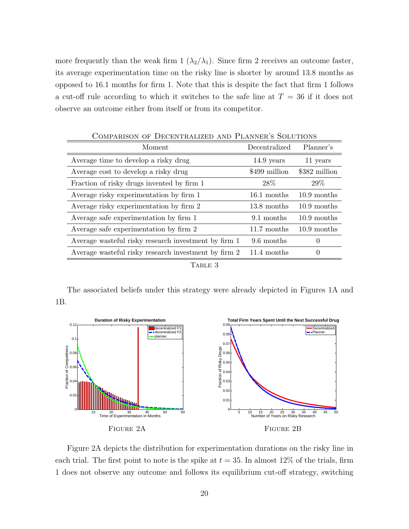more frequently than the weak firm 1  $(\lambda_2/\lambda_1)$ . Since firm 2 receives an outcome faster, its average experimentation time on the risky line is shorter by around 13.8 months as opposed to 16.1 months for firm 1. Note that this is despite the fact that firm 1 follows a cut-off rule according to which it switches to the safe line at  $T = 36$  if it does not observe an outcome either from itself or from its competitor.

| COMPARISON OF DECENTRALIZED AND PLANNER'S SOLUTIONS  |               |               |  |  |
|------------------------------------------------------|---------------|---------------|--|--|
| Moment                                               | Decentralized | Planner's     |  |  |
| Average time to develop a risky drug                 | $14.9$ years  | 11 years      |  |  |
| Average cost to develop a risky drug                 | \$499 million | \$382 million |  |  |
| Fraction of risky drugs invented by firm 1           | $28\%$        | $29\%$        |  |  |
| Average risky experimentation by firm 1              | 16.1 months   | 10.9 months   |  |  |
| Average risky experimentation by firm 2              | 13.8 months   | 10.9 months   |  |  |
| Average safe experimentation by firm 1               | 9.1 months    | 10.9 months   |  |  |
| Average safe experimentation by firm 2               | 11.7 months   | 10.9 months   |  |  |
| Average wasteful risky research investment by firm 1 | 9.6 months    | 0             |  |  |
| Average wasteful risky research investment by firm 2 | 11.4 months   | 0             |  |  |
|                                                      |               |               |  |  |

TABLE 3

The associated beliefs under this strategy were already depicted in Figures 1A and 1B.



Figure 2A depicts the distribution for experimentation durations on the risky line in each trial. The first point to note is the spike at  $t = 35$ . In almost 12% of the trials, firm 1 does not observe any outcome and follows its equilibrium cut-off strategy, switching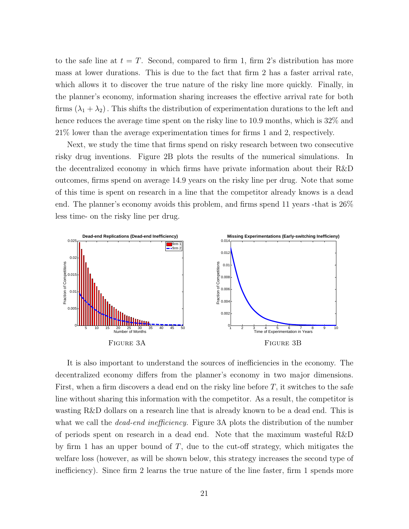to the safe line at  $t = T$ . Second, compared to firm 1, firm 2's distribution has more mass at lower durations. This is due to the fact that firm 2 has a faster arrival rate, which allows it to discover the true nature of the risky line more quickly. Finally, in the planner's economy, information sharing increases the effective arrival rate for both firms  $(\lambda_1 + \lambda_2)$ . This shifts the distribution of experimentation durations to the left and hence reduces the average time spent on the risky line to 10.9 months, which is  $32\%$  and 21% lower than the average experimentation times for firms 1 and 2, respectively.

Next, we study the time that firms spend on risky research between two consecutive risky drug inventions. Figure 2B plots the results of the numerical simulations. In the decentralized economy in which firms have private information about their R&D outcomes, firms spend on average 14.9 years on the risky line per drug. Note that some of this time is spent on research in a line that the competitor already knows is a dead end. The planner's economy avoids this problem, and firms spend 11 years -that is 26% less time- on the risky line per drug.



It is also important to understand the sources of inefficiencies in the economy. The decentralized economy differs from the planner's economy in two major dimensions. First, when a firm discovers a dead end on the risky line before  $T$ , it switches to the safe line without sharing this information with the competitor. As a result, the competitor is wasting R&D dollars on a research line that is already known to be a dead end. This is what we call the *dead-end inefficiency*. Figure 3A plots the distribution of the number of periods spent on research in a dead end. Note that the maximum wasteful R&D by firm 1 has an upper bound of  $T$ , due to the cut-off strategy, which mitigates the welfare loss (however, as will be shown below, this strategy increases the second type of inefficiency). Since firm 2 learns the true nature of the line faster, firm 1 spends more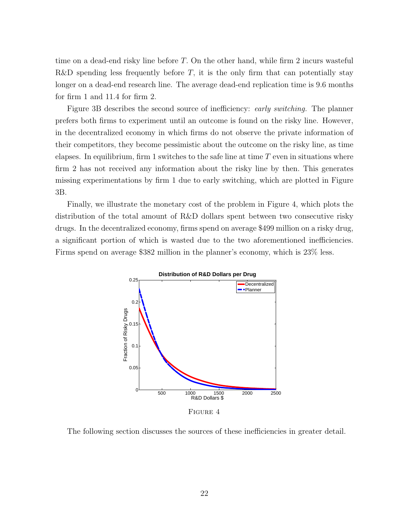time on a dead-end risky line before T. On the other hand, while firm 2 incurs wasteful R&D spending less frequently before  $T$ , it is the only firm that can potentially stay longer on a dead-end research line. The average dead-end replication time is 9.6 months for firm 1 and 11.4 for firm 2.

Figure 3B describes the second source of inefficiency: *early switching*. The planner prefers both firms to experiment until an outcome is found on the risky line. However, in the decentralized economy in which firms do not observe the private information of their competitors, they become pessimistic about the outcome on the risky line, as time elapses. In equilibrium, firm 1 switches to the safe line at time  $T$  even in situations where firm 2 has not received any information about the risky line by then. This generates missing experimentations by firm 1 due to early switching, which are plotted in Figure 3B.

Finally, we illustrate the monetary cost of the problem in Figure 4, which plots the distribution of the total amount of R&D dollars spent between two consecutive risky drugs. In the decentralized economy, firms spend on average \$499 million on a risky drug, a significant portion of which is wasted due to the two aforementioned inefficiencies. Firms spend on average \$382 million in the planner's economy, which is 23% less.



The following section discusses the sources of these inefficiencies in greater detail.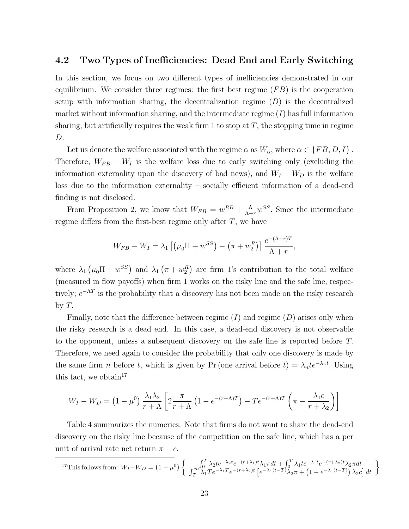#### 4.2 Two Types of Inefficiencies: Dead End and Early Switching

In this section, we focus on two different types of inefficiencies demonstrated in our equilibrium. We consider three regimes: the first best regime  $(FB)$  is the cooperation setup with information sharing, the decentralization regime  $(D)$  is the decentralized market without information sharing, and the intermediate regime  $(I)$  has full information sharing, but artificially requires the weak firm 1 to stop at  $T$ , the stopping time in regime D.

Let us denote the welfare associated with the regime  $\alpha$  as  $W_{\alpha}$ , where  $\alpha \in \{FB, D, I\}$ . Therefore,  $W_{FB} - W_I$  is the welfare loss due to early switching only (excluding the information externality upon the discovery of bad news), and  $W_I - W_D$  is the welfare loss due to the information externality – socially efficient information of a dead-end finding is not disclosed.

From Proposition 2, we know that  $W_{FB} = w^{RR} + \frac{\Lambda}{\Lambda + r} w^{SS}$ . Since the intermediate regime differs from the first-best regime only after  $T$ , we have

$$
W_{FB} - W_I = \lambda_1 \left[ \left( \mu_0 \Pi + w^{SS} \right) - \left( \pi + w_2^R \right) \right] \frac{e^{-(\Lambda + r)T}}{\Lambda + r},
$$

where  $\lambda_1(\mu_0 \Pi + w^{SS})$  and  $\lambda_1(\pi + w_2^R)$  are firm 1's contribution to the total welfare (measured in flow payoffs) when firm 1 works on the risky line and the safe line, respectively;  $e^{-\Lambda T}$  is the probability that a discovery has not been made on the risky research by  $T$ .

Finally, note that the difference between regime  $(I)$  and regime  $(D)$  arises only when the risky research is a dead end. In this case, a dead-end discovery is not observable to the opponent, unless a subsequent discovery on the safe line is reported before T. Therefore, we need again to consider the probability that only one discovery is made by the same firm *n* before t, which is given by Pr (one arrival before  $t = \lambda_n t e^{-\lambda_n t}$ . Using this fact, we obtain<sup>17</sup>

$$
W_I - W_D = \left(1 - \mu^0\right) \frac{\lambda_1 \lambda_2}{r + \Lambda} \left[2 \frac{\pi}{r + \Lambda} \left(1 - e^{-(r + \Lambda)T}\right) - T e^{-(r + \Lambda)T} \left(\pi - \frac{\lambda_1 c}{r + \lambda_2}\right)\right]
$$

Table 4 summarizes the numerics. Note that firms do not want to share the dead-end discovery on the risky line because of the competition on the safe line, which has a per unit of arrival rate net return  $\pi - c$ .

$$
{}^{17}\text{This follows from: }W_I-W_D=\left(1-\mu^0\right)\left\{\begin{array}{c} \int_0^T\lambda_2te^{-\lambda_2t}e^{-(r+\lambda_1)t}\lambda_1\pi dt+\int_0^T\lambda_1te^{-\lambda_1t}e^{-(r+\lambda_2)t}\lambda_2\pi dt\\ \int_T^\infty\lambda_1Te^{-\lambda_1T}e^{-(r+\lambda_2)t}\left[e^{-\lambda_1(t-T)}\lambda_2\pi+\left(1-e^{-\lambda_1(t-T)}\right)\lambda_2c\right]dt\end{array}\right\}
$$

.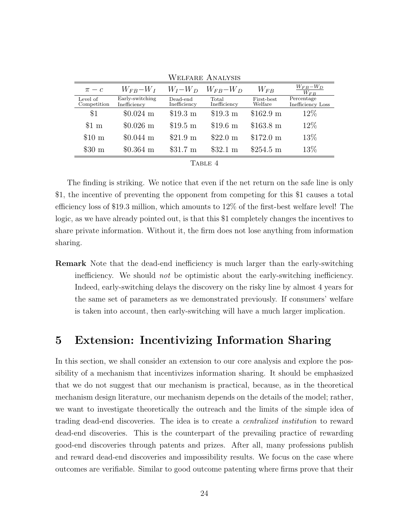| $\pi-c$                 | $W_{FB} - W_I$                  |                          | $W_I - W_D$ $W_{FB} - W_D$ | $W_{FB}$              | $W_{FB}-W_D$<br>$W_{FB}$        |  |
|-------------------------|---------------------------------|--------------------------|----------------------------|-----------------------|---------------------------------|--|
| Level of<br>Competition | Early-switching<br>Inefficiency | Dead-end<br>Inefficiency | Total<br>Inefficiency      | First-best<br>Welfare | Percentage<br>Inefficiency Loss |  |
| \$1                     | $$0.024 \text{ m}$              | $$19.3 \text{ m}$        | $$19.3 \text{ m}$          | $$162.9 \text{ m}$    | 12%                             |  |
| \$1 m                   | $$0.026 \text{ m}$              | $$19.5 \text{ m}$        | $$19.6 \text{ m}$          | $$163.8 \text{ m}$    | 12%                             |  |
| $$10 \text{ m}$         | $$0.044 \;{\rm m}$              | $$21.9 \text{ m}$        | $$22.0 \text{ m}$          | $$172.0 \text{ m}$    | 13%                             |  |
| $$30 \text{ m}$         | $$0.364$ m                      | $$31.7 \text{ m}$        | $$32.1 \text{ m}$          | $$254.5 \text{ m}$    | 13%                             |  |
| Table 4                 |                                 |                          |                            |                       |                                 |  |

Welfare Analysis

The finding is striking. We notice that even if the net return on the safe line is only \$1, the incentive of preventing the opponent from competing for this \$1 causes a total efficiency loss of \$19.3 million, which amounts to 12% of the first-best welfare level! The logic, as we have already pointed out, is that this \$1 completely changes the incentives to share private information. Without it, the firm does not lose anything from information sharing.

Remark Note that the dead-end inefficiency is much larger than the early-switching inefficiency. We should not be optimistic about the early-switching inefficiency. Indeed, early-switching delays the discovery on the risky line by almost 4 years for the same set of parameters as we demonstrated previously. If consumers' welfare is taken into account, then early-switching will have a much larger implication.

# 5 Extension: Incentivizing Information Sharing

In this section, we shall consider an extension to our core analysis and explore the possibility of a mechanism that incentivizes information sharing. It should be emphasized that we do not suggest that our mechanism is practical, because, as in the theoretical mechanism design literature, our mechanism depends on the details of the model; rather, we want to investigate theoretically the outreach and the limits of the simple idea of trading dead-end discoveries. The idea is to create a centralized institution to reward dead-end discoveries. This is the counterpart of the prevailing practice of rewarding good-end discoveries through patents and prizes. After all, many professions publish and reward dead-end discoveries and impossibility results. We focus on the case where outcomes are verifiable. Similar to good outcome patenting where firms prove that their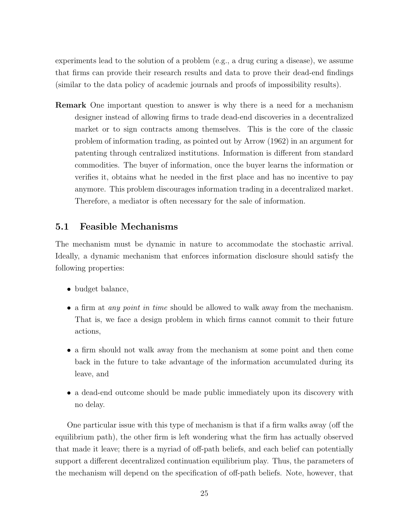experiments lead to the solution of a problem (e.g., a drug curing a disease), we assume that firms can provide their research results and data to prove their dead-end findings (similar to the data policy of academic journals and proofs of impossibility results).

Remark One important question to answer is why there is a need for a mechanism designer instead of allowing firms to trade dead-end discoveries in a decentralized market or to sign contracts among themselves. This is the core of the classic problem of information trading, as pointed out by Arrow (1962) in an argument for patenting through centralized institutions. Information is different from standard commodities. The buyer of information, once the buyer learns the information or verifies it, obtains what he needed in the first place and has no incentive to pay anymore. This problem discourages information trading in a decentralized market. Therefore, a mediator is often necessary for the sale of information.

#### 5.1 Feasible Mechanisms

The mechanism must be dynamic in nature to accommodate the stochastic arrival. Ideally, a dynamic mechanism that enforces information disclosure should satisfy the following properties:

- budget balance,
- a firm at *any point in time* should be allowed to walk away from the mechanism. That is, we face a design problem in which firms cannot commit to their future actions,
- a firm should not walk away from the mechanism at some point and then come back in the future to take advantage of the information accumulated during its leave, and
- a dead-end outcome should be made public immediately upon its discovery with no delay.

One particular issue with this type of mechanism is that if a firm walks away (off the equilibrium path), the other firm is left wondering what the firm has actually observed that made it leave; there is a myriad of off-path beliefs, and each belief can potentially support a different decentralized continuation equilibrium play. Thus, the parameters of the mechanism will depend on the specification of off-path beliefs. Note, however, that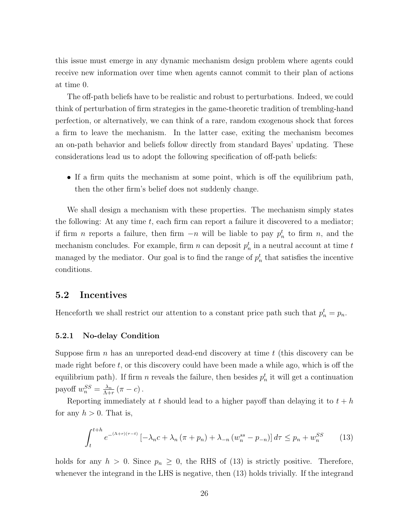this issue must emerge in any dynamic mechanism design problem where agents could receive new information over time when agents cannot commit to their plan of actions at time 0.

The off-path beliefs have to be realistic and robust to perturbations. Indeed, we could think of perturbation of firm strategies in the game-theoretic tradition of trembling-hand perfection, or alternatively, we can think of a rare, random exogenous shock that forces a firm to leave the mechanism. In the latter case, exiting the mechanism becomes an on-path behavior and beliefs follow directly from standard Bayes' updating. These considerations lead us to adopt the following specification of off-path beliefs:

• If a firm quits the mechanism at some point, which is off the equilibrium path, then the other firm's belief does not suddenly change.

We shall design a mechanism with these properties. The mechanism simply states the following: At any time  $t$ , each firm can report a failure it discovered to a mediator; if firm n reports a failure, then firm  $-n$  will be liable to pay  $p_n^t$  to firm n, and the mechanism concludes. For example, firm n can deposit  $p_n^t$  in a neutral account at time t managed by the mediator. Our goal is to find the range of  $p_n^t$  that satisfies the incentive conditions.

#### 5.2 Incentives

Henceforth we shall restrict our attention to a constant price path such that  $p_n^t = p_n$ .

#### 5.2.1 No-delay Condition

Suppose firm  $n$  has an unreported dead-end discovery at time  $t$  (this discovery can be made right before  $t$ , or this discovery could have been made a while ago, which is off the equilibrium path). If firm *n* reveals the failure, then besides  $p_n^t$  it will get a continuation payoff  $w_n^{SS} = \frac{\lambda_n}{\Lambda +}$  $\frac{\lambda_n}{\Lambda+r}\left(\pi-c\right).$ 

Reporting immediately at t should lead to a higher payoff than delaying it to  $t + h$ for any  $h > 0$ . That is,

$$
\int_{t}^{t+h} e^{-(\Lambda+r)(\tau-t)} \left[ -\lambda_{n} c + \lambda_{n} \left( \pi + p_{n} \right) + \lambda_{-n} \left( w_{n}^{ss} - p_{-n} \right) \right] d\tau \leq p_{n} + w_{n}^{SS} \tag{13}
$$

holds for any  $h > 0$ . Since  $p_n \geq 0$ , the RHS of (13) is strictly positive. Therefore, whenever the integrand in the LHS is negative, then (13) holds trivially. If the integrand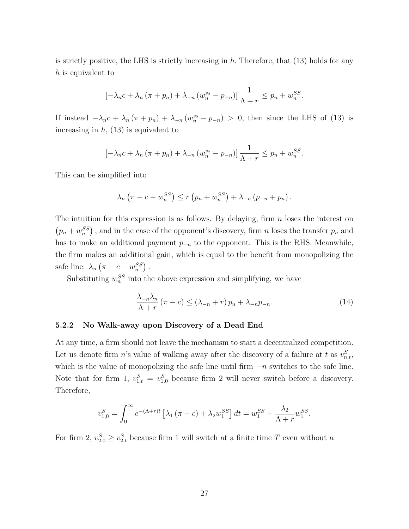is strictly positive, the LHS is strictly increasing in  $h$ . Therefore, that (13) holds for any h is equivalent to

$$
\left[-\lambda_n c + \lambda_n \left(\pi + p_n\right) + \lambda_{-n} \left(w_n^{ss} - p_{-n}\right)\right] \frac{1}{\Lambda + r} \leq p_n + w_n^{SS}.
$$

If instead  $-\lambda_n c + \lambda_n (\pi + p_n) + \lambda_{-n} (w_n^{ss} - p_{-n}) > 0$ , then since the LHS of (13) is increasing in  $h$ , (13) is equivalent to

$$
\left[-\lambda_n c + \lambda_n \left(\pi + p_n\right) + \lambda_{-n} \left(w_n^{ss} - p_{-n}\right)\right] \frac{1}{\Lambda + r} \leq p_n + w_n^{SS}.
$$

This can be simplified into

$$
\lambda_n \left( \pi - c - w_n^{SS} \right) \le r \left( p_n + w_n^{SS} \right) + \lambda_{-n} \left( p_{-n} + p_n \right).
$$

The intuition for this expression is as follows. By delaying, firm  $n$  loses the interest on  $(p_n + w_n^{SS})$ , and in the case of the opponent's discovery, firm n loses the transfer  $p_n$  and has to make an additional payment  $p_{-n}$  to the opponent. This is the RHS. Meanwhile, the firm makes an additional gain, which is equal to the benefit from monopolizing the safe line:  $\lambda_n \left( \pi - c - w_n^{SS} \right)$ .

Substituting  $w_n^{SS}$  into the above expression and simplifying, we have

$$
\frac{\lambda_{-n}\lambda_n}{\Lambda+r} \left(\pi-c\right) \le \left(\lambda_{-n}+r\right) p_n + \lambda_{-n} p_{-n}.\tag{14}
$$

#### 5.2.2 No Walk-away upon Discovery of a Dead End

At any time, a firm should not leave the mechanism to start a decentralized competition. Let us denote firm n's value of walking away after the discovery of a failure at t as  $v_{n,t}^S$ , which is the value of monopolizing the safe line until firm  $-n$  switches to the safe line. Note that for firm 1,  $v_{1,t}^S = v_{1,0}^S$  because firm 2 will never switch before a discovery. Therefore,

$$
v_{1,0}^{S} = \int_{0}^{\infty} e^{-(\Lambda + r)t} \left[ \lambda_1 \left( \pi - c \right) + \lambda_2 w_1^{SS} \right] dt = w_1^{SS} + \frac{\lambda_2}{\Lambda + r} w_1^{SS}.
$$

For firm 2,  $v_{2,0}^S \ge v_{2,t}^S$  because firm 1 will switch at a finite time T even without a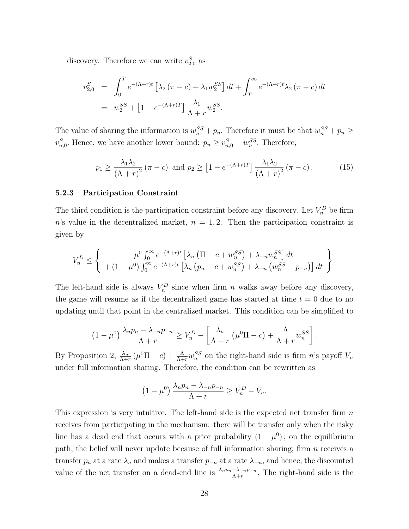discovery. Therefore we can write  $v_{2,0}^S$  as

$$
v_{2,0}^S = \int_0^T e^{-(\Lambda + r)t} \left[ \lambda_2 (\pi - c) + \lambda_1 w_2^{SS} \right] dt + \int_T^\infty e^{-(\Lambda + r)t} \lambda_2 (\pi - c) dt
$$
  
=  $w_2^{SS} + \left[ 1 - e^{-(\Lambda + r)T} \right] \frac{\lambda_1}{\Lambda + r} w_2^{SS}.$ 

The value of sharing the information is  $w_n^{SS} + p_n$ . Therefore it must be that  $w_n^{SS} + p_n \geq$  $v_{n,0}^S$ . Hence, we have another lower bound:  $p_n \ge v_{n,0}^S - w_n^{SS}$ . Therefore,

$$
p_1 \ge \frac{\lambda_1 \lambda_2}{\left(\Lambda + r\right)^2} \left(\pi - c\right) \text{ and } p_2 \ge \left[1 - e^{-(\Lambda + r)T}\right] \frac{\lambda_1 \lambda_2}{\left(\Lambda + r\right)^2} \left(\pi - c\right). \tag{15}
$$

#### 5.2.3 Participation Constraint

The third condition is the participation constraint before any discovery. Let  $V_n^D$  be firm n's value in the decentralized market,  $n = 1, 2$ . Then the participation constraint is given by

$$
V_n^D \leq \left\{ \begin{array}{c} \mu^0 \int_0^\infty e^{-(\Lambda+r)t} \left[ \lambda_n \left( \Pi - c + w_n^{SS} \right) + \lambda_{-n} w_n^{SS} \right] dt \\ + \left( 1 - \mu^0 \right) \int_0^\infty e^{-(\Lambda+r)t} \left[ \lambda_n \left( p_n - c + w_n^{SS} \right) + \lambda_{-n} \left( w_n^{SS} - p_{-n} \right) \right] dt \end{array} \right\}.
$$

The left-hand side is always  $V_n^D$  since when firm n walks away before any discovery, the game will resume as if the decentralized game has started at time  $t = 0$  due to no updating until that point in the centralized market. This condition can be simplified to

$$
(1 - \mu^0) \frac{\lambda_n p_n - \lambda_{-n} p_{-n}}{\Lambda + r} \ge V_n^D - \left[ \frac{\lambda_n}{\Lambda + r} \left( \mu^0 \Pi - c \right) + \frac{\Lambda}{\Lambda + r} w_n^{SS} \right].
$$

By Proposition 2,  $\frac{\lambda_n}{\Lambda+r}(\mu^0\Pi-c)+\frac{\Lambda}{\Lambda+r}w_n^{SS}$  on the right-hand side is firm n's payoff  $V_n$ under full information sharing. Therefore, the condition can be rewritten as

$$
(1 - \mu^0) \frac{\lambda_n p_n - \lambda_{-n} p_{-n}}{\Lambda + r} \ge V_n^D - V_n.
$$

This expression is very intuitive. The left-hand side is the expected net transfer firm  $n$ receives from participating in the mechanism: there will be transfer only when the risky line has a dead end that occurs with a prior probability  $(1 - \mu^0)$ ; on the equilibrium path, the belief will never update because of full information sharing; firm  $n$  receives a transfer  $p_n$  at a rate  $\lambda_n$  and makes a transfer  $p_{-n}$  at a rate  $\lambda_{-n}$ , and hence, the discounted value of the net transfer on a dead-end line is  $\frac{\lambda_n p_n - \lambda_{-n} p_{-n}}{\Lambda + r}$ . The right-hand side is the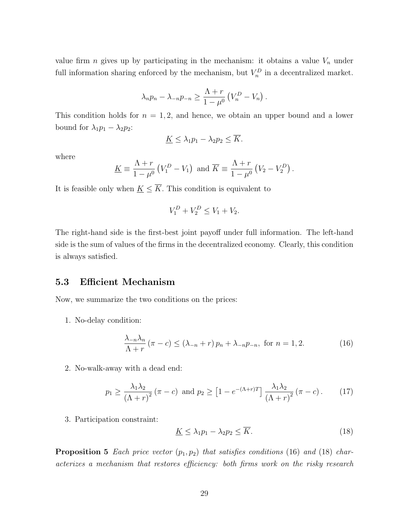value firm  $n$  gives up by participating in the mechanism: it obtains a value  $V_n$  under full information sharing enforced by the mechanism, but  $V_n^D$  in a decentralized market.

$$
\lambda_n p_n - \lambda_{-n} p_{-n} \geq \frac{\Lambda + r}{1 - \mu^0} \left( V_n^D - V_n \right).
$$

This condition holds for  $n = 1, 2$ , and hence, we obtain an upper bound and a lower bound for  $\lambda_1 p_1 - \lambda_2 p_2$ :

$$
\underline{K} \leq \lambda_1 p_1 - \lambda_2 p_2 \leq \overline{K}.
$$

where

$$
\underline{K} \equiv \frac{\Lambda + r}{1 - \mu^0} \left( V_1^D - V_1 \right) \text{ and } \overline{K} \equiv \frac{\Lambda + r}{1 - \mu^0} \left( V_2 - V_2^D \right).
$$

It is feasible only when  $\underline{K} \leq \overline{K}$ . This condition is equivalent to

$$
V_1^D + V_2^D \le V_1 + V_2.
$$

The right-hand side is the first-best joint payoff under full information. The left-hand side is the sum of values of the firms in the decentralized economy. Clearly, this condition is always satisfied.

#### 5.3 Efficient Mechanism

Now, we summarize the two conditions on the prices:

1. No-delay condition:

$$
\frac{\lambda_{-n}\lambda_n}{\Lambda+r} \left(\pi-c\right) \le \left(\lambda_{-n}+r\right)p_n + \lambda_{-n}p_{-n}, \text{ for } n=1,2. \tag{16}
$$

2. No-walk-away with a dead end:

$$
p_1 \ge \frac{\lambda_1 \lambda_2}{\left(\Lambda + r\right)^2} \left(\pi - c\right) \text{ and } p_2 \ge \left[1 - e^{-(\Lambda + r)T}\right] \frac{\lambda_1 \lambda_2}{\left(\Lambda + r\right)^2} \left(\pi - c\right). \tag{17}
$$

3. Participation constraint:

$$
\underline{K} \le \lambda_1 p_1 - \lambda_2 p_2 \le \overline{K}.\tag{18}
$$

**Proposition 5** Each price vector  $(p_1, p_2)$  that satisfies conditions (16) and (18) characterizes a mechanism that restores efficiency: both firms work on the risky research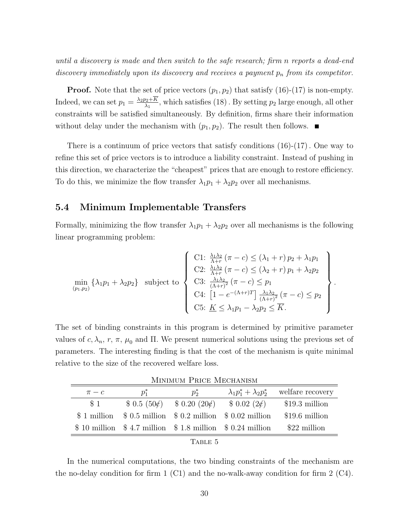until a discovery is made and then switch to the safe research; firm n reports a dead-end discovery immediately upon its discovery and receives a payment  $p_n$  from its competitor.

**Proof.** Note that the set of price vectors  $(p_1, p_2)$  that satisfy  $(16)-(17)$  is non-empty. Indeed, we can set  $p_1 = \frac{\lambda_2 p_2 + K}{\lambda_1}$  $\frac{\rho_2 + K}{\lambda_1}$ , which satisfies (18). By setting  $p_2$  large enough, all other constraints will be satisfied simultaneously. By definition, firms share their information without delay under the mechanism with  $(p_1, p_2)$ . The result then follows.

There is a continuum of price vectors that satisfy conditions  $(16)-(17)$ . One way to refine this set of price vectors is to introduce a liability constraint. Instead of pushing in this direction, we characterize the "cheapest" prices that are enough to restore efficiency. To do this, we minimize the flow transfer  $\lambda_1 p_1 + \lambda_2 p_2$  over all mechanisms.

#### 5.4 Minimum Implementable Transfers

Formally, minimizing the flow transfer  $\lambda_1 p_1 + \lambda_2 p_2$  over all mechanisms is the following linear programming problem:

$$
\min_{(p_1,p_2)} \{\lambda_1 p_1 + \lambda_2 p_2\} \quad \text{subject to} \quad \left\{\n\begin{array}{l}\n\text{C1: } \frac{\lambda_1 \lambda_2}{\Lambda + r} \left(\pi - c\right) \leq \left(\lambda_1 + r\right) p_2 + \lambda_1 p_1 \\
\text{C2: } \frac{\lambda_1 \lambda_2}{\Lambda + r} \left(\pi - c\right) \leq \left(\lambda_2 + r\right) p_1 + \lambda_2 p_2 \\
\text{C3: } \frac{\lambda_1 \lambda_2}{(\Lambda + r)^2} \left(\pi - c\right) \leq p_1 \\
\text{C4: } \left[1 - e^{-(\Lambda + r)T}\right] \frac{\lambda_1 \lambda_2}{(\Lambda + r)^2} \left(\pi - c\right) \leq p_2 \\
\text{C5: } \underline{K} \leq \lambda_1 p_1 - \lambda_2 p_2 \leq \overline{K}.\n\end{array}\n\right\}.
$$

The set of binding constraints in this program is determined by primitive parameter values of  $c, \lambda_n, r, \pi, \mu_0$  and II. We present numerical solutions using the previous set of parameters. The interesting finding is that the cost of the mechanism is quite minimal relative to the size of the recovered welfare loss.

| MINIMUM PRICE MECHANISM |         |                                                       |                                                             |                  |  |
|-------------------------|---------|-------------------------------------------------------|-------------------------------------------------------------|------------------|--|
| $\pi-c$                 | $p_1^*$ | $p_2^*$                                               | $\lambda_1 p_1^* + \lambda_2 p_2^*$                         | welfare recovery |  |
| \$1                     |         | $$0.5(50\ell) \quad $0.20(20\ell) \quad $0.02(2\ell)$ |                                                             | $$19.3$ million  |  |
| \$ 1 million            |         |                                                       | $$0.5$ million $$0.2$ million $$0.02$ million               | $$19.6$ million  |  |
|                         |         |                                                       | $$10$ million $$4.7$ million $$1.8$ million $$0.24$ million | \$22 million     |  |
| TABLE 5                 |         |                                                       |                                                             |                  |  |

In the numerical computations, the two binding constraints of the mechanism are the no-delay condition for firm 1 (C1) and the no-walk-away condition for firm 2 (C4).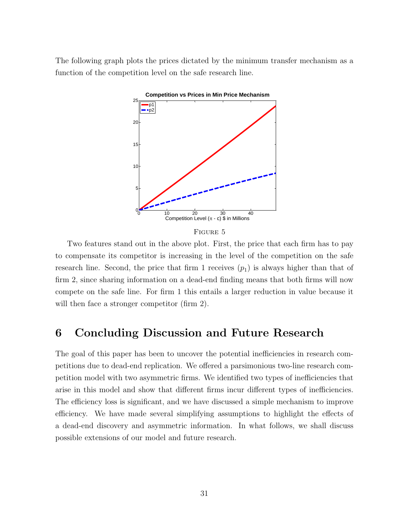The following graph plots the prices dictated by the minimum transfer mechanism as a function of the competition level on the safe research line.



Figure 5

Two features stand out in the above plot. First, the price that each firm has to pay to compensate its competitor is increasing in the level of the competition on the safe research line. Second, the price that firm 1 receives  $(p_1)$  is always higher than that of firm 2, since sharing information on a dead-end finding means that both firms will now compete on the safe line. For firm 1 this entails a larger reduction in value because it will then face a stronger competitor (firm 2).

# 6 Concluding Discussion and Future Research

The goal of this paper has been to uncover the potential inefficiencies in research competitions due to dead-end replication. We offered a parsimonious two-line research competition model with two asymmetric firms. We identified two types of inefficiencies that arise in this model and show that different firms incur different types of inefficiencies. The efficiency loss is significant, and we have discussed a simple mechanism to improve efficiency. We have made several simplifying assumptions to highlight the effects of a dead-end discovery and asymmetric information. In what follows, we shall discuss possible extensions of our model and future research.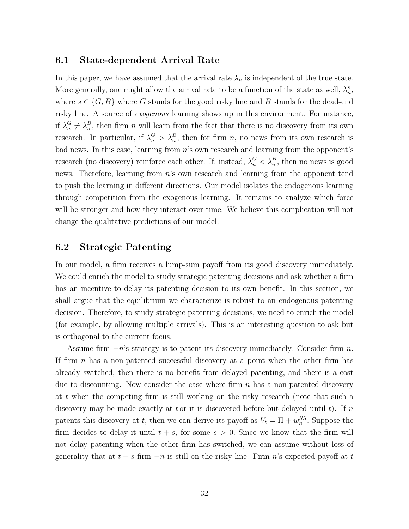#### 6.1 State-dependent Arrival Rate

In this paper, we have assumed that the arrival rate  $\lambda_n$  is independent of the true state. More generally, one might allow the arrival rate to be a function of the state as well,  $\lambda_n^s$  $_{n}^s,$ where  $s \in \{G, B\}$  where G stands for the good risky line and B stands for the dead-end risky line. A source of exogenous learning shows up in this environment. For instance, if  $\lambda_n^G \neq \lambda_n^B$  $_n^B$ , then firm *n* will learn from the fact that there is no discovery from its own research. In particular, if  $\lambda_n^G > \lambda_n^B$ , then for firm n, no news from its own research is bad news. In this case, learning from n's own research and learning from the opponent's research (no discovery) reinforce each other. If, instead,  $\lambda_n^G < \lambda_n^B$ , then no news is good news. Therefore, learning from n's own research and learning from the opponent tend to push the learning in different directions. Our model isolates the endogenous learning through competition from the exogenous learning. It remains to analyze which force will be stronger and how they interact over time. We believe this complication will not change the qualitative predictions of our model.

### 6.2 Strategic Patenting

In our model, a firm receives a lump-sum payoff from its good discovery immediately. We could enrich the model to study strategic patenting decisions and ask whether a firm has an incentive to delay its patenting decision to its own benefit. In this section, we shall argue that the equilibrium we characterize is robust to an endogenous patenting decision. Therefore, to study strategic patenting decisions, we need to enrich the model (for example, by allowing multiple arrivals). This is an interesting question to ask but is orthogonal to the current focus.

Assume firm  $-n$ 's strategy is to patent its discovery immediately. Consider firm n. If firm  $n$  has a non-patented successful discovery at a point when the other firm has already switched, then there is no benefit from delayed patenting, and there is a cost due to discounting. Now consider the case where firm  $n$  has a non-patented discovery at t when the competing firm is still working on the risky research (note that such a discovery may be made exactly at t or it is discovered before but delayed until t). If n patents this discovery at t, then we can derive its payoff as  $V_t = \Pi + w_n^{SS}$ . Suppose the firm decides to delay it until  $t + s$ , for some  $s > 0$ . Since we know that the firm will not delay patenting when the other firm has switched, we can assume without loss of generality that at  $t + s$  firm  $-n$  is still on the risky line. Firm n's expected payoff at t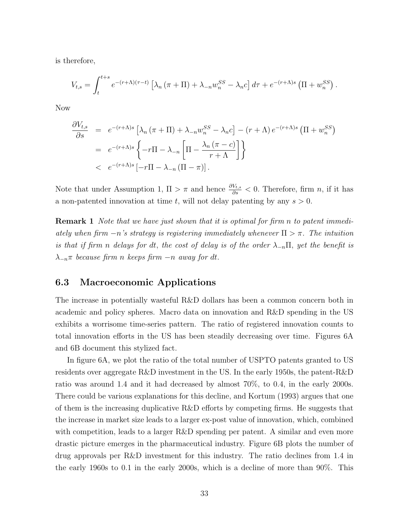is therefore,

$$
V_{t,s} = \int_{t}^{t+s} e^{-(r+\Lambda)(\tau-t)} \left[ \lambda_n \left( \pi + \Pi \right) + \lambda_{-n} w_n^{SS} - \lambda_n c \right] d\tau + e^{-(r+\Lambda)s} \left( \Pi + w_n^{SS} \right).
$$

Now

$$
\frac{\partial V_{t,s}}{\partial s} = e^{-(r+\Lambda)s} \left[ \lambda_n (\pi + \Pi) + \lambda_{-n} w_n^{SS} - \lambda_n c \right] - (r+\Lambda) e^{-(r+\Lambda)s} \left( \Pi + w_n^{SS} \right)
$$
  
\n
$$
= e^{-(r+\Lambda)s} \left\{ -r\Pi - \lambda_{-n} \left[ \Pi - \frac{\lambda_n (\pi - c)}{r+\Lambda} \right] \right\}
$$
  
\n
$$
< e^{-(r+\Lambda)s} \left[ -r\Pi - \lambda_{-n} (\Pi - \pi) \right].
$$

Note that under Assumption 1,  $\Pi > \pi$  and hence  $\frac{\partial V_{t,s}}{\partial s} < 0$ . Therefore, firm *n*, if it has a non-patented innovation at time t, will not delay patenting by any  $s > 0$ .

**Remark 1** Note that we have just shown that it is optimal for firm n to patent immediately when firm  $-n$ 's strategy is registering immediately whenever  $\Pi > \pi$ . The intuition is that if firm n delays for dt, the cost of delay is of the order  $\lambda_{-n}\Pi$ , yet the benefit is  $\lambda_{-n}\pi$  because firm n keeps firm  $-n$  away for dt.

#### 6.3 Macroeconomic Applications

The increase in potentially wasteful R&D dollars has been a common concern both in academic and policy spheres. Macro data on innovation and R&D spending in the US exhibits a worrisome time-series pattern. The ratio of registered innovation counts to total innovation efforts in the US has been steadily decreasing over time. Figures 6A and 6B document this stylized fact.

In figure 6A, we plot the ratio of the total number of USPTO patents granted to US residents over aggregate R&D investment in the US. In the early 1950s, the patent-R&D ratio was around 1.4 and it had decreased by almost 70%, to 0.4, in the early 2000s. There could be various explanations for this decline, and Kortum (1993) argues that one of them is the increasing duplicative R&D efforts by competing firms. He suggests that the increase in market size leads to a larger ex-post value of innovation, which, combined with competition, leads to a larger R&D spending per patent. A similar and even more drastic picture emerges in the pharmaceutical industry. Figure 6B plots the number of drug approvals per R&D investment for this industry. The ratio declines from 1.4 in the early 1960s to 0.1 in the early 2000s, which is a decline of more than 90%. This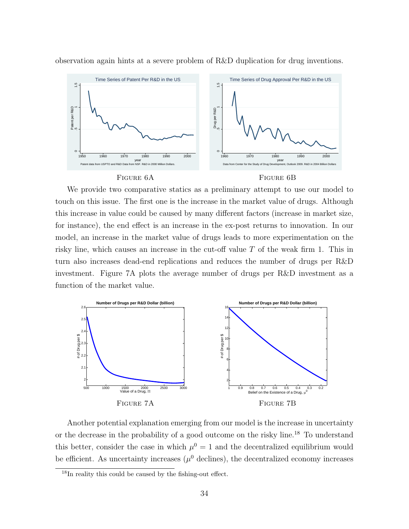

observation again hints at a severe problem of R&D duplication for drug inventions.

We provide two comparative statics as a preliminary attempt to use our model to touch on this issue. The first one is the increase in the market value of drugs. Although this increase in value could be caused by many different factors (increase in market size, for instance), the end effect is an increase in the ex-post returns to innovation. In our model, an increase in the market value of drugs leads to more experimentation on the risky line, which causes an increase in the cut-off value  $T$  of the weak firm 1. This in turn also increases dead-end replications and reduces the number of drugs per R&D investment. Figure 7A plots the average number of drugs per R&D investment as a function of the market value.



Another potential explanation emerging from our model is the increase in uncertainty or the decrease in the probability of a good outcome on the risky line.<sup>18</sup> To understand this better, consider the case in which  $\mu^0 = 1$  and the decentralized equilibrium would be efficient. As uncertainty increases  $(\mu^0$  declines), the decentralized economy increases

<sup>18</sup>In reality this could be caused by the fishing-out effect.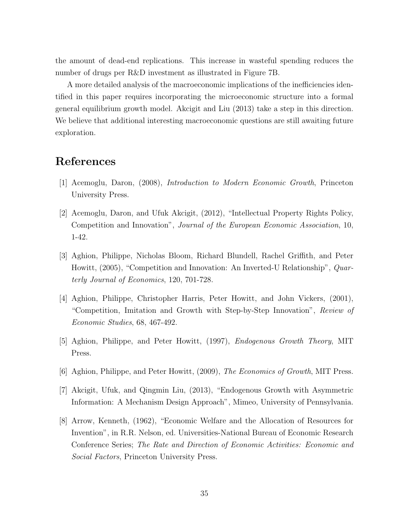the amount of dead-end replications. This increase in wasteful spending reduces the number of drugs per R&D investment as illustrated in Figure 7B.

A more detailed analysis of the macroeconomic implications of the inefficiencies identified in this paper requires incorporating the microeconomic structure into a formal general equilibrium growth model. Akcigit and Liu (2013) take a step in this direction. We believe that additional interesting macroeconomic questions are still awaiting future exploration.

# References

- [1] Acemoglu, Daron, (2008), Introduction to Modern Economic Growth, Princeton University Press.
- [2] Acemoglu, Daron, and Ufuk Akcigit, (2012), "Intellectual Property Rights Policy, Competition and Innovation", Journal of the European Economic Association, 10, 1-42.
- [3] Aghion, Philippe, Nicholas Bloom, Richard Blundell, Rachel Griffith, and Peter Howitt, (2005), "Competition and Innovation: An Inverted-U Relationship", Quarterly Journal of Economics, 120, 701-728.
- [4] Aghion, Philippe, Christopher Harris, Peter Howitt, and John Vickers, (2001), "Competition, Imitation and Growth with Step-by-Step Innovation", Review of Economic Studies, 68, 467-492.
- [5] Aghion, Philippe, and Peter Howitt, (1997), Endogenous Growth Theory, MIT Press.
- [6] Aghion, Philippe, and Peter Howitt, (2009), The Economics of Growth, MIT Press.
- [7] Akcigit, Ufuk, and Qingmin Liu, (2013), "Endogenous Growth with Asymmetric Information: A Mechanism Design Approach", Mimeo, University of Pennsylvania.
- [8] Arrow, Kenneth, (1962), "Economic Welfare and the Allocation of Resources for Invention", in R.R. Nelson, ed. Universities-National Bureau of Economic Research Conference Series; The Rate and Direction of Economic Activities: Economic and Social Factors, Princeton University Press.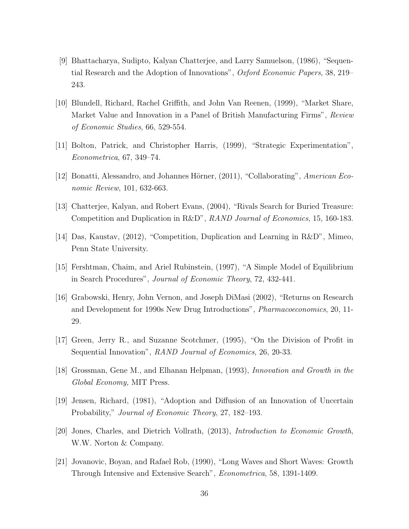- [9] Bhattacharya, Sudipto, Kalyan Chatterjee, and Larry Samuelson, (1986), "Sequential Research and the Adoption of Innovations", Oxford Economic Papers, 38, 219– 243.
- [10] Blundell, Richard, Rachel Griffith, and John Van Reenen, (1999), "Market Share, Market Value and Innovation in a Panel of British Manufacturing Firms", Review of Economic Studies, 66, 529-554.
- [11] Bolton, Patrick, and Christopher Harris, (1999), "Strategic Experimentation", Econometrica, 67, 349–74.
- [12] Bonatti, Alessandro, and Johannes Hörner, (2011), "Collaborating", American Economic Review, 101, 632-663.
- [13] Chatterjee, Kalyan, and Robert Evans, (2004), "Rivals Search for Buried Treasure: Competition and Duplication in R&D", RAND Journal of Economics, 15, 160-183.
- [14] Das, Kaustav, (2012), "Competition, Duplication and Learning in R&D", Mimeo, Penn State University.
- [15] Fershtman, Chaim, and Ariel Rubinstein, (1997), "A Simple Model of Equilibrium in Search Procedures", Journal of Economic Theory, 72, 432-441.
- [16] Grabowski, Henry, John Vernon, and Joseph DiMasi (2002), "Returns on Research and Development for 1990s New Drug Introductions", Pharmacoeconomics, 20, 11- 29.
- [17] Green, Jerry R., and Suzanne Scotchmer, (1995), "On the Division of Profit in Sequential Innovation", RAND Journal of Economics, 26, 20-33.
- [18] Grossman, Gene M., and Elhanan Helpman, (1993), Innovation and Growth in the Global Economy, MIT Press.
- [19] Jensen, Richard, (1981), "Adoption and Diffusion of an Innovation of Uncertain Probability," Journal of Economic Theory, 27, 182–193.
- [20] Jones, Charles, and Dietrich Vollrath, (2013), Introduction to Economic Growth, W.W. Norton & Company.
- [21] Jovanovic, Boyan, and Rafael Rob, (1990), "Long Waves and Short Waves: Growth Through Intensive and Extensive Search", Econometrica, 58, 1391-1409.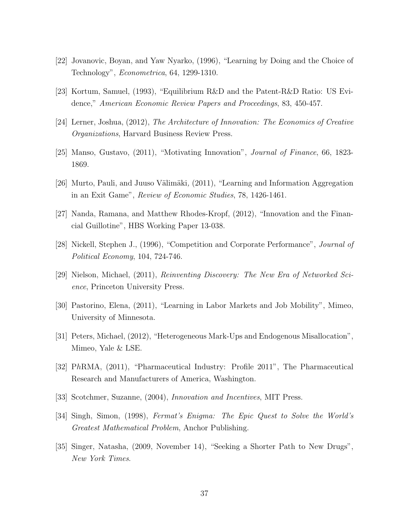- [22] Jovanovic, Boyan, and Yaw Nyarko, (1996), "Learning by Doing and the Choice of Technology", Econometrica, 64, 1299-1310.
- [23] Kortum, Samuel, (1993), "Equilibrium R&D and the Patent-R&D Ratio: US Evidence," American Economic Review Papers and Proceedings, 83, 450-457.
- [24] Lerner, Joshua, (2012), The Architecture of Innovation: The Economics of Creative Organizations, Harvard Business Review Press.
- [25] Manso, Gustavo, (2011), "Motivating Innovation", Journal of Finance, 66, 1823- 1869.
- [26] Murto, Pauli, and Juuso Välimäki, (2011), "Learning and Information Aggregation in an Exit Game", Review of Economic Studies, 78, 1426-1461.
- [27] Nanda, Ramana, and Matthew Rhodes-Kropf, (2012), "Innovation and the Financial Guillotine", HBS Working Paper 13-038.
- [28] Nickell, Stephen J., (1996), "Competition and Corporate Performance", Journal of Political Economy, 104, 724-746.
- [29] Nielson, Michael, (2011), Reinventing Discovery: The New Era of Networked Science, Princeton University Press.
- [30] Pastorino, Elena, (2011), "Learning in Labor Markets and Job Mobility", Mimeo, University of Minnesota.
- [31] Peters, Michael, (2012), "Heterogeneous Mark-Ups and Endogenous Misallocation", Mimeo, Yale & LSE.
- [32] PhRMA, (2011), "Pharmaceutical Industry: Profile 2011", The Pharmaceutical Research and Manufacturers of America, Washington.
- [33] Scotchmer, Suzanne, (2004), Innovation and Incentives, MIT Press.
- [34] Singh, Simon, (1998), Fermat's Enigma: The Epic Quest to Solve the World's Greatest Mathematical Problem, Anchor Publishing.
- [35] Singer, Natasha, (2009, November 14), "Seeking a Shorter Path to New Drugs", New York Times.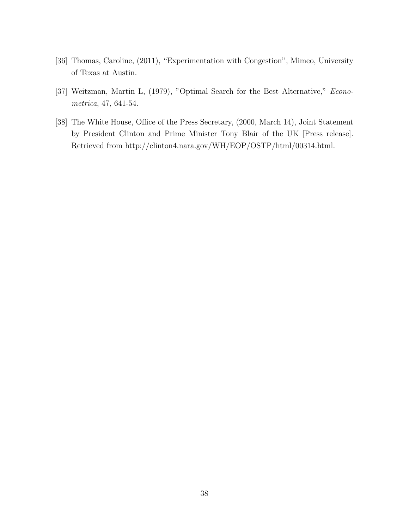- [36] Thomas, Caroline, (2011), "Experimentation with Congestion", Mimeo, University of Texas at Austin.
- [37] Weitzman, Martin L, (1979), "Optimal Search for the Best Alternative," *Econo*metrica, 47, 641-54.
- [38] The White House, Office of the Press Secretary, (2000, March 14), Joint Statement by President Clinton and Prime Minister Tony Blair of the UK [Press release]. Retrieved from http://clinton4.nara.gov/WH/EOP/OSTP/html/00314.html.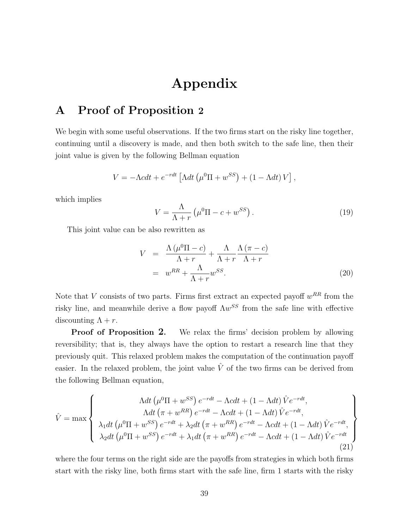# Appendix

# A Proof of Proposition 2

We begin with some useful observations. If the two firms start on the risky line together, continuing until a discovery is made, and then both switch to the safe line, then their joint value is given by the following Bellman equation

$$
V = -\Lambda c dt + e^{-r dt} \left[ \Lambda dt \left( \mu^{0} \Pi + w^{SS} \right) + \left( 1 - \Lambda dt \right) V \right],
$$

which implies

$$
V = \frac{\Lambda}{\Lambda + r} \left( \mu^0 \Pi - c + w^{SS} \right). \tag{19}
$$

This joint value can be also rewritten as

$$
V = \frac{\Lambda(\mu^{0}\Pi - c)}{\Lambda + r} + \frac{\Lambda}{\Lambda + r} \frac{\Lambda(\pi - c)}{\Lambda + r}
$$
  
= 
$$
w^{RR} + \frac{\Lambda}{\Lambda + r} w^{SS}.
$$
 (20)

Note that V consists of two parts. Firms first extract an expected payoff  $w^{RR}$  from the risky line, and meanwhile derive a flow payoff  $\Lambda w^{SS}$  from the safe line with effective discounting  $\Lambda + r$ .

**Proof of Proposition 2.** We relax the firms' decision problem by allowing reversibility; that is, they always have the option to restart a research line that they previously quit. This relaxed problem makes the computation of the continuation payoff easier. In the relaxed problem, the joint value  $\hat{V}$  of the two firms can be derived from the following Bellman equation,

$$
\hat{V} = \max \left\{ \begin{array}{c} \Lambda dt \left( \mu^0 \Pi + w^{SS} \right) e^{-rdt} - \Lambda c dt + \left( 1 - \Lambda dt \right) \hat{V} e^{-rdt}, \\ \Lambda dt \left( \pi + w^{RR} \right) e^{-rdt} - \Lambda c dt + \left( 1 - \Lambda dt \right) \hat{V} e^{-rdt}, \\ \lambda_1 dt \left( \mu^0 \Pi + w^{SS} \right) e^{-rdt} + \lambda_2 dt \left( \pi + w^{RR} \right) e^{-rdt} - \Lambda c dt + \left( 1 - \Lambda dt \right) \hat{V} e^{-rdt}, \\ \lambda_2 dt \left( \mu^0 \Pi + w^{SS} \right) e^{-rdt} + \lambda_1 dt \left( \pi + w^{RR} \right) e^{-rdt} - \Lambda c dt + \left( 1 - \Lambda dt \right) \hat{V} e^{-rdt} \end{array} \right\}
$$
\n(21)

where the four terms on the right side are the payoffs from strategies in which both firms start with the risky line, both firms start with the safe line, firm 1 starts with the risky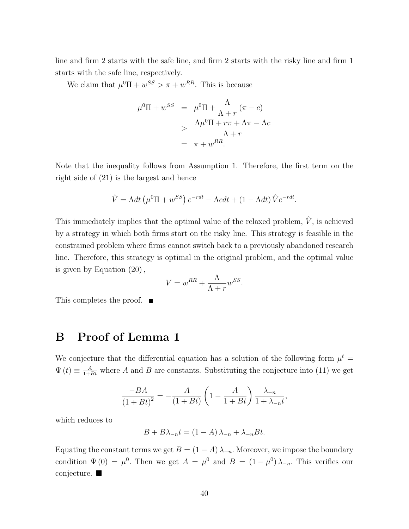line and firm 2 starts with the safe line, and firm 2 starts with the risky line and firm 1 starts with the safe line, respectively.

We claim that  $\mu^0 \Pi + w^{SS} > \pi + w^{RR}$ . This is because

$$
\mu^{0}\Pi + w^{SS} = \mu^{0}\Pi + \frac{\Lambda}{\Lambda + r}(\pi - c)
$$

$$
> \frac{\Lambda\mu^{0}\Pi + r\pi + \Lambda\pi - \Lambda c}{\Lambda + r}
$$

$$
= \pi + w^{RR}.
$$

Note that the inequality follows from Assumption 1. Therefore, the first term on the right side of (21) is the largest and hence

$$
\hat{V} = \Lambda dt \left( \mu^0 \Pi + w^{SS} \right) e^{-rdt} - \Lambda c dt + (1 - \Lambda dt) \hat{V} e^{-rdt}.
$$

This immediately implies that the optimal value of the relaxed problem,  $\hat{V}$ , is achieved by a strategy in which both firms start on the risky line. This strategy is feasible in the constrained problem where firms cannot switch back to a previously abandoned research line. Therefore, this strategy is optimal in the original problem, and the optimal value is given by Equation (20),

$$
V = w^{RR} + \frac{\Lambda}{\Lambda + r} w^{SS}.
$$

This completes the proof. ■

# B Proof of Lemma 1

We conjecture that the differential equation has a solution of the following form  $\mu^t =$  $\Psi(t) \equiv \frac{A}{1+Bt}$  where A and B are constants. Substituting the conjecture into (11) we get

$$
\frac{-BA}{\left(1+Bt\right)^2} = -\frac{A}{\left(1+Bt\right)} \left(1 - \frac{A}{1+Bt}\right) \frac{\lambda_{-n}}{1+\lambda_{-n}t},
$$

which reduces to

$$
B + B\lambda_{-n}t = (1 - A)\lambda_{-n} + \lambda_{-n}Bt.
$$

Equating the constant terms we get  $B = (1 - A) \lambda_{-n}$ . Moreover, we impose the boundary condition  $\Psi(0) = \mu^0$ . Then we get  $A = \mu^0$  and  $B = (1 - \mu^0) \lambda_{-n}$ . This verifies our conjecture.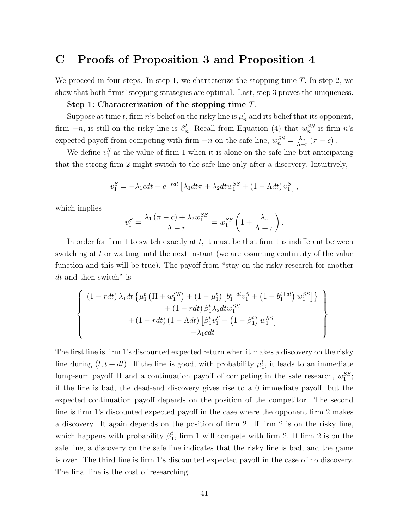# C Proofs of Proposition 3 and Proposition 4

We proceed in four steps. In step 1, we characterize the stopping time  $T$ . In step 2, we show that both firms' stopping strategies are optimal. Last, step 3 proves the uniqueness.

#### Step 1: Characterization of the stopping time T.

Suppose at time t, firm  $n$ 's belief on the risky line is  $\mu_n^t$  and its belief that its opponent, firm  $-n$ , is still on the risky line is  $\beta_r^t$ <sup>t</sup><sub>n</sub>. Recall from Equation (4) that  $w_n^{SS}$  is firm n's expected payoff from competing with firm  $-n$  on the safe line,  $w_n^{SS} = \frac{\lambda_n}{\Delta + n}$  $\frac{\lambda_n}{\Lambda+r}\left(\pi-c\right).$ 

We define  $v_1^S$  as the value of firm 1 when it is alone on the safe line but anticipating that the strong firm 2 might switch to the safe line only after a discovery. Intuitively,

$$
v_1^S = -\lambda_1 c dt + e^{-r dt} \left[ \lambda_1 dt \pi + \lambda_2 dt w_1^{SS} + (1 - \Lambda dt) v_1^S \right],
$$

which implies

$$
v_1^S = \frac{\lambda_1 (\pi - c) + \lambda_2 w_1^{SS}}{\Lambda + r} = w_1^{SS} \left( 1 + \frac{\lambda_2}{\Lambda + r} \right)
$$

.

In order for firm 1 to switch exactly at t, it must be that firm 1 is indifferent between switching at t or waiting until the next instant (we are assuming continuity of the value function and this will be true). The payoff from "stay on the risky research for another dt and then switch" is

$$
\left\{\n\begin{array}{c}\n(1-rdt)\lambda_1 dt \left\{\mu_1^t \left( \Pi + w_1^{SS}\right) + (1-\mu_1^t) \left[ b_1^{t+dt} v_1^S + \left( 1 - b_1^{t+dt} \right) w_1^{SS} \right] \right\} \\
+ (1-rdt) \beta_1^t \lambda_2 dt w_1^{SS} \\
+ (1-rdt) \left( 1 - \Lambda dt \right) \left[ \beta_1^t v_1^S + \left( 1 - \beta_1^t \right) w_1^{SS} \right] \\
- \lambda_1 c dt\n\end{array}\n\right\}.
$$

The first line is firm 1's discounted expected return when it makes a discovery on the risky line during  $(t, t + dt)$ . If the line is good, with probability  $\mu_1^t$ , it leads to an immediate lump-sum payoff  $\Pi$  and a continuation payoff of competing in the safe research,  $w_1^{SS}$ ; if the line is bad, the dead-end discovery gives rise to a 0 immediate payoff, but the expected continuation payoff depends on the position of the competitor. The second line is firm 1's discounted expected payoff in the case where the opponent firm 2 makes a discovery. It again depends on the position of firm 2. If firm 2 is on the risky line, which happens with probability  $\beta_1^t$  $\frac{t}{1}$ , firm 1 will compete with firm 2. If firm 2 is on the safe line, a discovery on the safe line indicates that the risky line is bad, and the game is over. The third line is firm 1's discounted expected payoff in the case of no discovery. The final line is the cost of researching.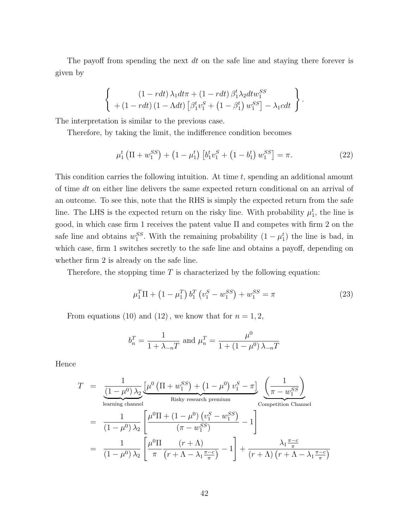The payoff from spending the next dt on the safe line and staying there forever is given by

$$
\begin{Bmatrix}\n(1-rdt)\lambda_1 dt\pi + (1-rdt)\beta_1^t \lambda_2 dt w_1^{SS} \\
+(1-rdt)\left(1-\Lambda dt\right)\left[\beta_1^t v_1^S + \left(1-\beta_1^t\right) w_1^{SS}\right] - \lambda_1 c dt\n\end{Bmatrix}.
$$

The interpretation is similar to the previous case.

Therefore, by taking the limit, the indifference condition becomes

$$
\mu_1^t \left( \Pi + w_1^{SS} \right) + \left( 1 - \mu_1^t \right) \left[ b_1^t v_1^S + \left( 1 - b_1^t \right) w_1^{SS} \right] = \pi. \tag{22}
$$

This condition carries the following intuition. At time  $t$ , spending an additional amount of time dt on either line delivers the same expected return conditional on an arrival of an outcome. To see this, note that the RHS is simply the expected return from the safe line. The LHS is the expected return on the risky line. With probability  $\mu_1^t$ , the line is good, in which case firm 1 receives the patent value  $\Pi$  and competes with firm 2 on the safe line and obtains  $w_1^{SS}$ . With the remaining probability  $(1 - \mu_1^t)$  the line is bad, in which case, firm 1 switches secretly to the safe line and obtains a payoff, depending on whether firm 2 is already on the safe line.

Therefore, the stopping time  $T$  is characterized by the following equation:

$$
\mu_1^T \Pi + \left(1 - \mu_1^T\right) b_1^T \left(v_1^S - w_1^{SS}\right) + w_1^{SS} = \pi \tag{23}
$$

From equations (10) and (12), we know that for  $n = 1, 2$ ,

$$
b_n^T = \frac{1}{1 + \lambda_{-n}T}
$$
 and  $\mu_n^T = \frac{\mu^0}{1 + (1 - \mu^0) \lambda_{-n}T}$ 

Hence

$$
T = \frac{1}{(1 - \mu^0) \lambda_2} \underbrace{\left[\mu^0 \left(\Pi + w_1^{SS}\right) + \left(1 - \mu^0\right) v_1^S - \pi\right]}_{\text{Risky research premium}} \underbrace{\left(\frac{1}{\pi - w_1^{SS}}\right)}_{\text{Competition Channel}}
$$
\n
$$
= \frac{1}{(1 - \mu^0) \lambda_2} \left[\frac{\mu^0 \Pi + \left(1 - \mu^0\right) \left(v_1^S - w_1^{SS}\right)}{(\pi - w_1^{SS})} - 1\right]
$$
\n
$$
= \frac{1}{(1 - \mu^0) \lambda_2} \left[\frac{\mu^0 \Pi}{\pi} \frac{(r + \Lambda)}{(r + \Lambda - \lambda_1 \frac{\pi - c}{\pi})} - 1\right] + \frac{\lambda_1 \frac{\pi - c}{\pi}}{(r + \Lambda) \left(r + \Lambda - \lambda_1 \frac{\pi - c}{\pi}\right)}
$$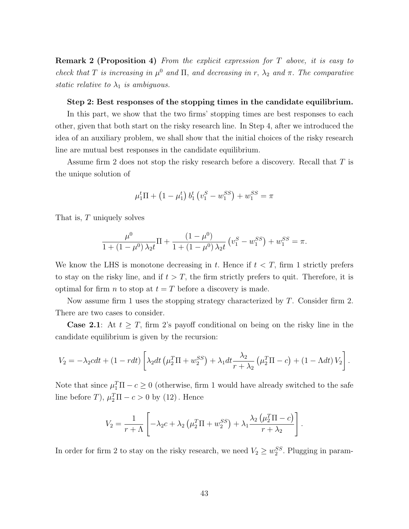Remark 2 (Proposition 4) From the explicit expression for T above, it is easy to check that T is increasing in  $\mu^0$  and  $\Pi$ , and decreasing in r,  $\lambda_2$  and  $\pi$ . The comparative static relative to  $\lambda_1$  is ambiguous.

#### Step 2: Best responses of the stopping times in the candidate equilibrium.

In this part, we show that the two firms' stopping times are best responses to each other, given that both start on the risky research line. In Step 4, after we introduced the idea of an auxiliary problem, we shall show that the initial choices of the risky research line are mutual best responses in the candidate equilibrium.

Assume firm 2 does not stop the risky research before a discovery. Recall that T is the unique solution of

$$
\mu_1^t \Pi + (1 - \mu_1^t) b_1^t (v_1^S - w_1^{SS}) + w_1^{SS} = \pi
$$

That is, T uniquely solves

$$
\frac{\mu^0}{1 + (1 - \mu^0) \lambda_2 t} \Pi + \frac{(1 - \mu^0)}{1 + (1 - \mu^0) \lambda_2 t} \left( v_1^S - w_1^{SS} \right) + w_1^{SS} = \pi.
$$

We know the LHS is monotone decreasing in t. Hence if  $t < T$ , firm 1 strictly prefers to stay on the risky line, and if  $t > T$ , the firm strictly prefers to quit. Therefore, it is optimal for firm *n* to stop at  $t = T$  before a discovery is made.

Now assume firm 1 uses the stopping strategy characterized by T. Consider firm 2. There are two cases to consider.

**Case 2.1**: At  $t \geq T$ , firm 2's payoff conditional on being on the risky line in the candidate equilibrium is given by the recursion:

$$
V_2 = -\lambda_2 cdt + (1 - rdt) \left[ \lambda_2 dt \left( \mu_2^T \Pi + w_2^{SS} \right) + \lambda_1 dt \frac{\lambda_2}{r + \lambda_2} \left( \mu_2^T \Pi - c \right) + (1 - \Lambda dt) V_2 \right].
$$

Note that since  $\mu_1^T \Pi - c \geq 0$  (otherwise, firm 1 would have already switched to the safe line before T,  $\mu_2^T \Pi - c > 0$  by  $(12)$ . Hence

$$
V_2 = \frac{1}{r+\Lambda} \left[ -\lambda_2 c + \lambda_2 \left( \mu_2^T \Pi + w_2^{SS} \right) + \lambda_1 \frac{\lambda_2 \left( \mu_2^T \Pi - c \right)}{r+\lambda_2} \right].
$$

In order for firm 2 to stay on the risky research, we need  $V_2 \geq w_2^{SS}$ . Plugging in param-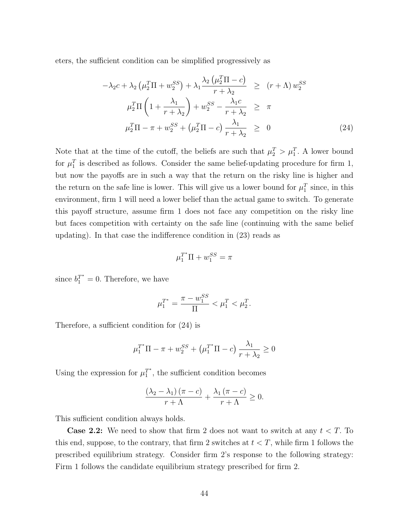eters, the sufficient condition can be simplified progressively as

$$
-\lambda_2 c + \lambda_2 \left(\mu_2^T \Pi + w_2^{SS}\right) + \lambda_1 \frac{\lambda_2 \left(\mu_2^T \Pi - c\right)}{r + \lambda_2} \ge (r + \Lambda) w_2^{SS}
$$
  

$$
\mu_2^T \Pi \left(1 + \frac{\lambda_1}{r + \lambda_2}\right) + w_2^{SS} - \frac{\lambda_1 c}{r + \lambda_2} \ge \pi
$$
  

$$
\mu_2^T \Pi - \pi + w_2^{SS} + \left(\mu_2^T \Pi - c\right) \frac{\lambda_1}{r + \lambda_2} \ge 0
$$
 (24)

Note that at the time of the cutoff, the beliefs are such that  $\mu_2^T > \mu_1^T$ . A lower bound for  $\mu_1^T$  is described as follows. Consider the same belief-updating procedure for firm 1, but now the payoffs are in such a way that the return on the risky line is higher and the return on the safe line is lower. This will give us a lower bound for  $\mu_1^T$  since, in this environment, firm 1 will need a lower belief than the actual game to switch. To generate this payoff structure, assume firm 1 does not face any competition on the risky line but faces competition with certainty on the safe line (continuing with the same belief updating). In that case the indifference condition in (23) reads as

$$
\mu_1^{T^*}\Pi+w_1^{SS}=\pi
$$

since  $b_1^{T^*} = 0$ . Therefore, we have

$$
\mu_1^{T^*} = \frac{\pi - w_1^{SS}}{\Pi} < \mu_1^T < \mu_2^T.
$$

Therefore, a sufficient condition for (24) is

$$
\mu_1^{T^*} \Pi - \pi + w_2^{SS} + (\mu_1^{T^*} \Pi - c) \frac{\lambda_1}{r + \lambda_2} \ge 0
$$

Using the expression for  $\mu_1^{T^*}$  $T^*$ , the sufficient condition becomes

$$
\frac{(\lambda_2 - \lambda_1)(\pi - c)}{r + \Lambda} + \frac{\lambda_1(\pi - c)}{r + \Lambda} \ge 0.
$$

This sufficient condition always holds.

**Case 2.2:** We need to show that firm 2 does not want to switch at any  $t < T$ . To this end, suppose, to the contrary, that firm 2 switches at  $t < T$ , while firm 1 follows the prescribed equilibrium strategy. Consider firm 2's response to the following strategy: Firm 1 follows the candidate equilibrium strategy prescribed for firm 2.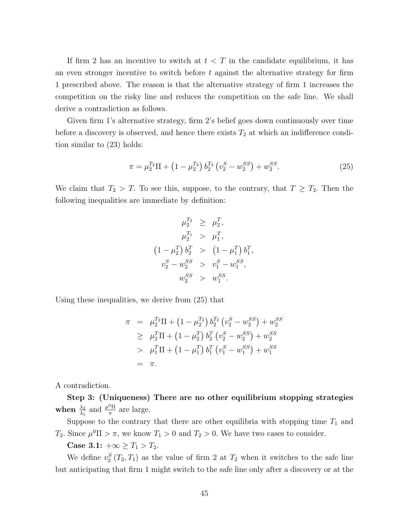If firm 2 has an incentive to switch at  $t < T$  in the candidate equilibrium, it has an even stronger incentive to switch before  $t$  against the alternative strategy for firm 1 prescribed above. The reason is that the alternative strategy of firm 1 increases the competition on the risky line and reduces the competition on the safe line. We shall derive a contradiction as follows.

Given firm 1's alternative strategy, firm 2's belief goes down continuously over time before a discovery is observed, and hence there exists  $T_2$  at which an indifference condition similar to (23) holds:

$$
\pi = \mu_2^{T_2} \Pi + \left(1 - \mu_2^{T_2}\right) b_2^{T_2} \left(v_2^S - w_2^{SS}\right) + w_2^{SS}.\tag{25}
$$

We claim that  $T_2 > T$ . To see this, suppose, to the contrary, that  $T \geq T_2$ . Then the following inequalities are immediate by definition:

$$
\mu_2^{T_2} \geq \mu_2^T,
$$
  
\n
$$
\mu_2^{T_1} > \mu_1^T,
$$
  
\n
$$
(1 - \mu_2^T) b_2^T > (1 - \mu_1^T) b_1^T,
$$
  
\n
$$
v_2^S - w_2^{SS} > v_1^S - w_1^{SS},
$$
  
\n
$$
w_2^{SS} > w_1^{SS}.
$$

Using these inequalities, we derive from (25) that

$$
\pi = \mu_2^{T_2} \Pi + (1 - \mu_2^{T_2}) b_2^{T_2} (v_2^S - w_2^{SS}) + w_2^{SS}
$$
  
\n
$$
\geq \mu_2^{T} \Pi + (1 - \mu_2^{T}) b_2^{T} (v_2^S - w_2^{SS}) + w_2^{SS}
$$
  
\n
$$
> \mu_1^{T} \Pi + (1 - \mu_1^{T}) b_1^{T} (v_1^S - w_1^{SS}) + w_1^{SS}
$$
  
\n
$$
= \pi.
$$

A contradiction.

Step 3: (Uniqueness) There are no other equilibrium stopping strategies when  $\frac{\lambda_2}{\lambda_1}$  and  $\frac{\mu^0 \Pi}{\pi}$  $\frac{\partial \Pi}{\partial \tau}$  are large.

Suppose to the contrary that there are other equilibria with stopping time  $T_1$  and T<sub>2</sub>. Since  $\mu^0 \Pi > \pi$ , we know  $T_1 > 0$  and  $T_2 > 0$ . We have two cases to consider.

Case 3.1: 
$$
+\infty \geq T_1 > T_2
$$
.

We define  $v_2^S(T_2,T_1)$  as the value of firm 2 at  $T_2$  when it switches to the safe line but anticipating that firm 1 might switch to the safe line only after a discovery or at the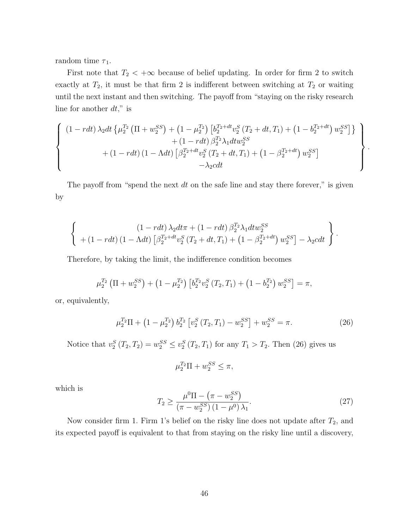random time  $\tau_1$ .

First note that  $T_2 < +\infty$  because of belief updating. In order for firm 2 to switch exactly at  $T_2$ , it must be that firm 2 is indifferent between switching at  $T_2$  or waiting until the next instant and then switching. The payoff from "staying on the risky research line for another  $dt$ ," is

$$
\left\{\n\begin{array}{c}\n(1-rdt)\lambda_2dt\left\{\mu_2^{T_2}\left(\Pi+w_2^{SS}\right) + \left(1-\mu_2^{T_2}\right)\left[b_2^{T_2+dt}v_2^S\left(T_2+dt,T_1\right) + \left(1-b_2^{T_2+dt}\right)w_2^{SS}\right]\right\} \\
+ \left(1-rdt\right)\beta_2^{T_2}\lambda_1dtw_2^{SS} \\
+ \left(1-rdt\right)\left(1-\Lambda dt\right)\left[\beta_2^{T_2+dt}v_2^S\left(T_2+dt,T_1\right) + \left(1-\beta_2^{T_2+dt}\right)w_2^{SS}\right] \\
-\lambda_2cdt\n\end{array}\n\right\}
$$

.

The payoff from "spend the next dt on the safe line and stay there forever," is given by

$$
\left\{\n\begin{array}{l}\n(1-rdt)\lambda_2 dt\pi + (1-rdt)\beta_2^{T_2}\lambda_1 dt w_2^{SS} \\
+(1-rdt)\left(1-\Lambda dt\right)\left[\beta_2^{T_2+dt}v_2^S\left(T_2+dt,T_1\right) + \left(1-\beta_2^{T_2+dt}\right)w_2^{SS}\right] - \lambda_2 c dt\n\end{array}\n\right\}.
$$

Therefore, by taking the limit, the indifference condition becomes

$$
\mu_2^{T_2} \left( \Pi + w_2^{SS} \right) + \left( 1 - \mu_2^{T_2} \right) \left[ b_2^{T_2} v_2^S \left( T_2, T_1 \right) + \left( 1 - b_2^{T_2} \right) w_2^{SS} \right] = \pi,
$$

or, equivalently,

$$
\mu_2^{T_2} \Pi + \left(1 - \mu_2^{T_2}\right) b_2^{T_2} \left[v_2^S\left(T_2, T_1\right) - w_2^{SS}\right] + w_2^{SS} = \pi. \tag{26}
$$

Notice that  $v_2^S(T_2, T_2) = w_2^{SS} \le v_2^S(T_2, T_1)$  for any  $T_1 > T_2$ . Then (26) gives us

$$
\mu_2^{T_2}\Pi+w_2^{SS}\leq \pi,
$$

which is

$$
T_2 \ge \frac{\mu^0 \Pi - (\pi - w_2^{SS})}{(\pi - w_2^{SS}) (1 - \mu^0) \lambda_1}.
$$
\n(27)

Now consider firm 1. Firm 1's belief on the risky line does not update after  $T_2$ , and its expected payoff is equivalent to that from staying on the risky line until a discovery,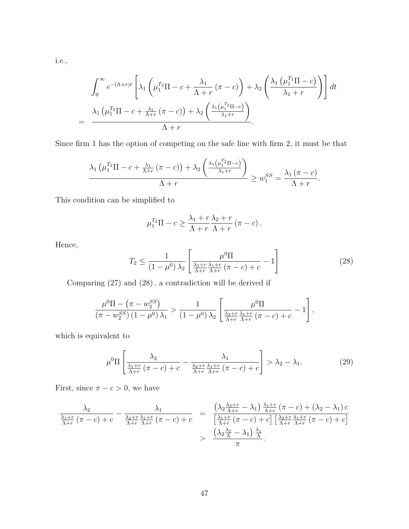i.e.,

$$
\int_0^\infty e^{-(\Lambda+r)t} \left[ \lambda_1 \left( \mu_1^{T_2} \Pi - c + \frac{\lambda_1}{\Lambda + r} (\pi - c) \right) + \lambda_2 \left( \frac{\lambda_1 \left( \mu_1^{T_2} \Pi - c \right)}{\lambda_1 + r} \right) \right] dt
$$
  
= 
$$
\frac{\lambda_1 \left( \mu_1^{T_2} \Pi - c + \frac{\lambda_1}{\Lambda + r} (\pi - c) \right) + \lambda_2 \left( \frac{\lambda_1 \left( \mu_1^{T_2} \Pi - c \right)}{\lambda_1 + r} \right)}{\Lambda + r}.
$$

Since firm 1 has the option of competing on the safe line with firm 2, it must be that

$$
\frac{\lambda_1\left(\mu_1^{T_2}\Pi - c + \frac{\lambda_1}{\Lambda + r}(\pi - c)\right) + \lambda_2\left(\frac{\lambda_1\left(\mu_1^{T_2}\Pi - c\right)}{\lambda_1 + r}\right)}{\Lambda + r} \ge w_1^{SS} = \frac{\lambda_1(\pi - c)}{\Lambda + r}.
$$

This condition can be simplified to

$$
\mu_1^{T_2} \Pi - c \ge \frac{\lambda_1 + r \lambda_2 + r}{\Lambda + r \Lambda + r} (\pi - c).
$$

Hence,

$$
T_2 \le \frac{1}{(1 - \mu^0) \lambda_2} \left[ \frac{\mu^0 \Pi}{\frac{\lambda_2 + r}{\lambda_1 + r} \lambda_1 + r} (-\pi - c) + c - 1 \right]
$$
 (28)

Comparing (27) and (28), a contradiction will be derived if

$$
\frac{\mu^0 \Pi - \left(\pi - w_2^{SS}\right)}{\left(\pi - w_2^{SS}\right)\left(1 - \mu^0\right)\lambda_1} > \frac{1}{\left(1 - \mu^0\right)\lambda_2} \left[\frac{\mu^0 \Pi}{\frac{\lambda_2 + r}{\Lambda + r} \frac{\lambda_1 + r}{\Lambda + r} \left(\pi - c\right) + c} - 1\right],
$$

which is equivalent to

$$
\mu^{0}\Pi\left[\frac{\lambda_{2}}{\frac{\lambda_{1}+r}{\lambda+r}(\pi-c)+c}-\frac{\lambda_{1}}{\frac{\lambda_{2}+r}{\lambda+r}\frac{\lambda_{1}+r}{\lambda+r}(\pi-c)+c}\right] > \lambda_{2}-\lambda_{1}.
$$
\n(29)

First, since  $\pi - c > 0$ , we have

$$
\frac{\lambda_2}{\frac{\lambda_1+r}{\Lambda+r}(\pi-c)+c} - \frac{\lambda_1}{\frac{\lambda_2+r}{\Lambda+r}\frac{\lambda_1+r}{\Lambda+r}(\pi-c)+c} = \frac{\left(\lambda_2\frac{\lambda_2+r}{\Lambda+r}-\lambda_1\right)\frac{\lambda_1+r}{\Lambda+r}(\pi-c)+\left(\lambda_2-\lambda_1\right)c}{\left[\frac{\lambda_1+r}{\Lambda+r}(\pi-c)+c\right]\left[\frac{\lambda_2+r}{\Lambda+r}\frac{\lambda_1+r}{\Lambda+r}(\pi-c)+c\right]} \\
&> \frac{\left(\lambda_2\frac{\lambda_2}{\Lambda}-\lambda_1\right)\frac{\lambda_1}{\Lambda}}{\pi}.
$$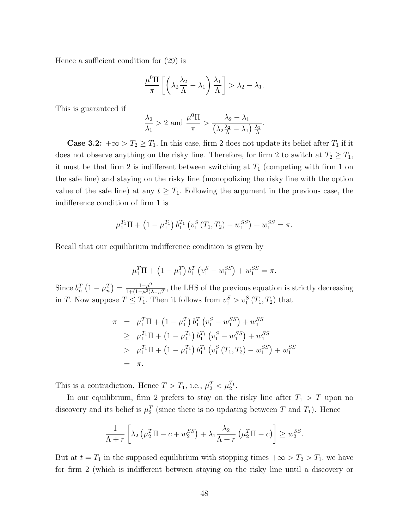Hence a sufficient condition for (29) is

$$
\frac{\mu^0 \Pi}{\pi} \left[ \left( \lambda_2 \frac{\lambda_2}{\Lambda} - \lambda_1 \right) \frac{\lambda_1}{\Lambda} \right] > \lambda_2 - \lambda_1.
$$

This is guaranteed if

$$
\frac{\lambda_2}{\lambda_1} > 2 \text{ and } \frac{\mu^0 \Pi}{\pi} > \frac{\lambda_2 - \lambda_1}{\left(\lambda_2 \frac{\lambda_2}{\Lambda} - \lambda_1\right) \frac{\lambda_1}{\Lambda}}.
$$

**Case 3.2:**  $+\infty > T_2 \geq T_1$ . In this case, firm 2 does not update its belief after  $T_1$  if it does not observe anything on the risky line. Therefore, for firm 2 to switch at  $T_2 \geq T_1$ , it must be that firm 2 is indifferent between switching at  $T_1$  (competing with firm 1 on the safe line) and staying on the risky line (monopolizing the risky line with the option value of the safe line) at any  $t \geq T_1$ . Following the argument in the previous case, the indifference condition of firm 1 is

$$
\mu_1^{T_1} \Pi + (1 - \mu_1^{T_1}) b_1^{T_1} (v_1^S (T_1, T_2) - w_1^{SS}) + w_1^{SS} = \pi.
$$

Recall that our equilibrium indifference condition is given by

$$
\mu_1^T \Pi + (1 - \mu_1^T) b_1^T (v_1^S - w_1^{SS}) + w_1^{SS} = \pi.
$$

Since  $b_n^T(1-\mu_n^T) = \frac{1-\mu^0}{1+(1-\mu^0)}$  $\frac{1-\mu^{\circ}}{1+(1-\mu^0)\lambda_{-n}T}$ , the LHS of the previous equation is strictly decreasing in T. Now suppose  $T \leq T_1$ . Then it follows from  $v_1^S > v_1^S(T_1, T_2)$  that

$$
\pi = \mu_1^T \Pi + (1 - \mu_1^T) b_1^T (v_1^S - w_1^{SS}) + w_1^{SS}
$$
  
\n
$$
\geq \mu_1^{T_1} \Pi + (1 - \mu_1^{T_1}) b_1^{T_1} (v_1^S - w_1^{SS}) + w_1^{SS}
$$
  
\n
$$
> \mu_1^{T_1} \Pi + (1 - \mu_1^{T_1}) b_1^{T_1} (v_1^S (T_1, T_2) - w_1^{SS}) + w_1^{SS}
$$
  
\n
$$
= \pi.
$$

This is a contradiction. Hence  $T > T_1$ , i.e.,  $\mu_2^T < \mu_2^{T_1}$ .

In our equilibrium, firm 2 prefers to stay on the risky line after  $T_1 > T$  upon no discovery and its belief is  $\mu_2^T$  (since there is no updating between T and  $T_1$ ). Hence

$$
\frac{1}{\Lambda+r} \left[ \lambda_2 \left( \mu_2^T \Pi - c + w_2^{SS} \right) + \lambda_1 \frac{\lambda_2}{\Lambda+r} \left( \mu_2^T \Pi - c \right) \right] \ge w_2^{SS}.
$$

But at  $t = T_1$  in the supposed equilibrium with stopping times  $+\infty > T_2 > T_1$ , we have for firm 2 (which is indifferent between staying on the risky line until a discovery or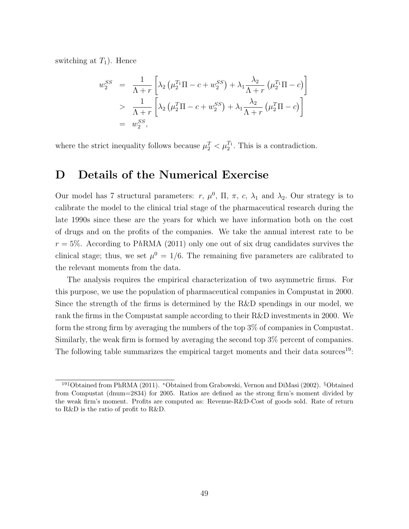switching at  $T_1$ ). Hence

$$
w_2^{SS} = \frac{1}{\Lambda + r} \left[ \lambda_2 \left( \mu_2^{T_1} \Pi - c + w_2^{SS} \right) + \lambda_1 \frac{\lambda_2}{\Lambda + r} \left( \mu_2^{T_1} \Pi - c \right) \right]
$$
  
> 
$$
\frac{1}{\Lambda + r} \left[ \lambda_2 \left( \mu_2^{T_1} \Pi - c + w_2^{SS} \right) + \lambda_1 \frac{\lambda_2}{\Lambda + r} \left( \mu_2^{T_1} \Pi - c \right) \right]
$$
  
= 
$$
w_2^{SS},
$$

where the strict inequality follows because  $\mu_2^T < \mu_2^{T_1}$ . This is a contradiction.

# D Details of the Numerical Exercise

Our model has 7 structural parameters:  $r, \mu^0, \Pi, \pi, c, \lambda_1$  and  $\lambda_2$ . Our strategy is to calibrate the model to the clinical trial stage of the pharmaceutical research during the late 1990s since these are the years for which we have information both on the cost of drugs and on the profits of the companies. We take the annual interest rate to be  $r = 5\%$ . According to PhRMA (2011) only one out of six drug candidates survives the clinical stage; thus, we set  $\mu^0 = 1/6$ . The remaining five parameters are calibrated to the relevant moments from the data.

The analysis requires the empirical characterization of two asymmetric firms. For this purpose, we use the population of pharmaceutical companies in Compustat in 2000. Since the strength of the firms is determined by the R&D spendings in our model, we rank the firms in the Compustat sample according to their R&D investments in 2000. We form the strong firm by averaging the numbers of the top 3% of companies in Compustat. Similarly, the weak firm is formed by averaging the second top 3% percent of companies. The following table summarizes the empirical target moments and their data sources<sup>19</sup>:

<sup>19</sup>‡Obtained from PhRMA (2011). <sup>∗</sup>Obtained from Grabowski, Vernon and DiMasi (2002). §Obtained from Compustat (dnum=2834) for 2005. Ratios are defined as the strong firm's moment divided by the weak firm's moment. Profits are computed as: Revenue-R&D-Cost of goods sold. Rate of return to R&D is the ratio of profit to R&D.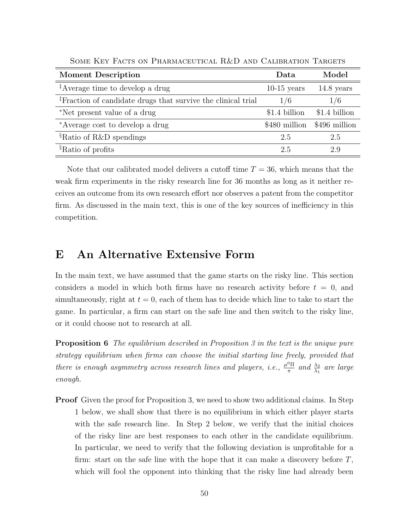| <b>Moment Description</b>                                                | Data          | Model         |
|--------------------------------------------------------------------------|---------------|---------------|
| <sup>‡</sup> Average time to develop a drug                              | $10-15$ years | $14.8$ years  |
| <sup>‡</sup> Fraction of candidate drugs that survive the clinical trial | 1/6           | 1/6           |
| *Net present value of a drug                                             | \$1.4 billion | \$1.4 billion |
| *Average cost to develop a drug                                          | \$480 million | \$496 million |
| <sup>§</sup> Ratio of R&D spendings                                      | 2.5           | 2.5           |
| <sup>§</sup> Ratio of profits                                            | 2.5           | 29            |

Some Key Facts on Pharmaceutical R&D and Calibration Targets

Note that our calibrated model delivers a cutoff time  $T = 36$ , which means that the weak firm experiments in the risky research line for 36 months as long as it neither receives an outcome from its own research effort nor observes a patent from the competitor firm. As discussed in the main text, this is one of the key sources of inefficiency in this competition.

### E An Alternative Extensive Form

In the main text, we have assumed that the game starts on the risky line. This section considers a model in which both firms have no research activity before  $t = 0$ , and simultaneously, right at  $t = 0$ , each of them has to decide which line to take to start the game. In particular, a firm can start on the safe line and then switch to the risky line, or it could choose not to research at all.

**Proposition 6** The equilibrium described in Proposition 3 in the text is the unique pure strategy equilibrium when firms can choose the initial starting line freely, provided that there is enough asymmetry across research lines and players, i.e.,  $\frac{\mu^0 \Pi}{\pi}$  $\frac{\partial \Pi}{\partial \pi}$  and  $\frac{\lambda_2}{\lambda_1}$  are large enough.

Proof Given the proof for Proposition 3, we need to show two additional claims. In Step 1 below, we shall show that there is no equilibrium in which either player starts with the safe research line. In Step 2 below, we verify that the initial choices of the risky line are best responses to each other in the candidate equilibrium. In particular, we need to verify that the following deviation is unprofitable for a firm: start on the safe line with the hope that it can make a discovery before  $T$ , which will fool the opponent into thinking that the risky line had already been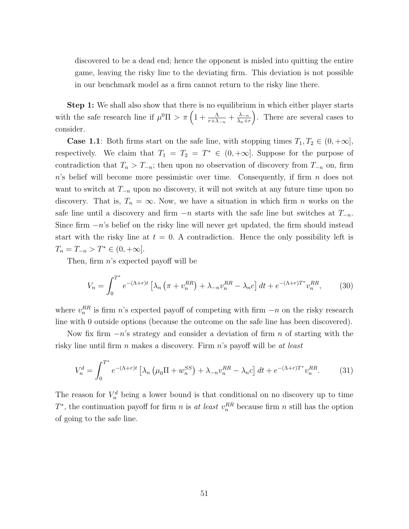discovered to be a dead end; hence the opponent is misled into quitting the entire game, leaving the risky line to the deviating firm. This deviation is not possible in our benchmark model as a firm cannot return to the risky line there.

Step 1: We shall also show that there is no equilibrium in which either player starts with the safe research line if  $\mu^0 \Pi > \pi \left(1 + \frac{\Lambda}{r + \lambda_{-n}} + \frac{\lambda_{-n}}{\lambda_n + n}\right)$  $\lambda_n+r$  . There are several cases to consider.

**Case 1.1**: Both firms start on the safe line, with stopping times  $T_1, T_2 \in (0, +\infty]$ , respectively. We claim that  $T_1 = T_2 = T^* \in (0, +\infty]$ . Suppose for the purpose of contradiction that  $T_n > T_{-n}$ ; then upon no observation of discovery from  $T_{-n}$  on, firm  $n$ 's belief will become more pessimistic over time. Consequently, if firm  $n$  does not want to switch at  $T_{-n}$  upon no discovery, it will not switch at any future time upon no discovery. That is,  $T_n = \infty$ . Now, we have a situation in which firm *n* works on the safe line until a discovery and firm  $-n$  starts with the safe line but switches at  $T_{-n}$ . Since firm  $-n$ 's belief on the risky line will never get updated, the firm should instead start with the risky line at  $t = 0$ . A contradiction. Hence the only possibility left is  $T_n = T_{-n} > T^* \in (0, +\infty].$ 

Then, firm  $n$ 's expected payoff will be

$$
V_n = \int_0^{T^*} e^{-(\Lambda + r)t} \left[ \lambda_n \left( \pi + v_n^{RR} \right) + \lambda_{-n} v_n^{RR} - \lambda_n c \right] dt + e^{-(\Lambda + r)T^*} v_n^{RR}, \tag{30}
$$

where  $v_n^{RR}$  is firm n's expected payoff of competing with firm  $-n$  on the risky research line with 0 outside options (because the outcome on the safe line has been discovered).

Now fix firm  $-n$ 's strategy and consider a deviation of firm n of starting with the risky line until firm  $n$  makes a discovery. Firm  $n$ 's payoff will be at least

$$
V_n^d = \int_0^{T^*} e^{-(\Lambda + r)t} \left[ \lambda_n \left( \mu_0 \Pi + w_n^{SS} \right) + \lambda_{-n} v_n^{RR} - \lambda_n c \right] dt + e^{-(\Lambda + r)T^*} v_n^{RR}.
$$
 (31)

The reason for  $V_n^d$  being a lower bound is that conditional on no discovery up to time  $T^*$ , the continuation payoff for firm n is at least  $v_n^{RR}$  because firm n still has the option of going to the safe line.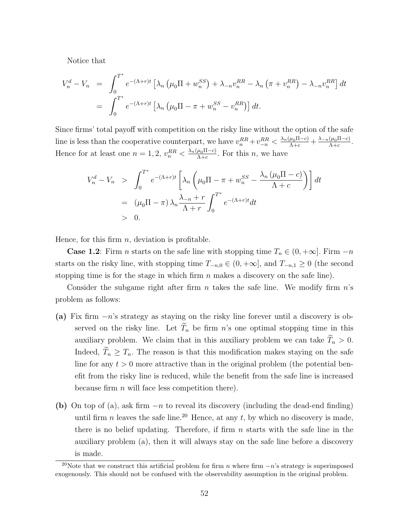Notice that

$$
V_n^d - V_n = \int_0^{T^*} e^{-(\Lambda + r)t} \left[ \lambda_n \left( \mu_0 \Pi + w_n^{SS} \right) + \lambda_{-n} v_n^{RR} - \lambda_n \left( \pi + v_n^{RR} \right) - \lambda_{-n} v_n^{RR} \right] dt
$$
  
= 
$$
\int_0^{T^*} e^{-(\Lambda + r)t} \left[ \lambda_n \left( \mu_0 \Pi - \pi + w_n^{SS} - v_n^{RR} \right) \right] dt.
$$

Since firms' total payoff with competition on the risky line without the option of the safe line is less than the cooperative counterpart, we have  $v_n^{RR} + v_{-n}^{RR} < \frac{\lambda_n(\mu_0 \Pi - c)}{\Lambda + c} + \frac{\lambda_{-n}(\mu_0 \Pi - c)}{\Lambda + c}$  $\frac{(\mu_0\Pi-c)}{\Lambda+c}$ . Hence for at least one  $n = 1, 2, v_n^{RR} < \frac{\lambda_n(\mu_0 \Pi - c)}{\Lambda + c}$  $\frac{\mu_0 \Pi - c}{\Lambda + c}$ . For this *n*, we have

$$
V_n^d - V_n > \int_0^{T^*} e^{-(\Lambda + r)t} \left[ \lambda_n \left( \mu_0 \Pi - \pi + w_n^{SS} - \frac{\lambda_n (\mu_0 \Pi - c)}{\Lambda + c} \right) \right] dt
$$
  
=  $(\mu_0 \Pi - \pi) \lambda_n \frac{\lambda_{-n} + r}{\Lambda + r} \int_0^{T^*} e^{-(\Lambda + r)t} dt$   
> 0.

Hence, for this firm  $n$ , deviation is profitable.

**Case 1.2:** Firm *n* starts on the safe line with stopping time  $T_n \in (0, +\infty]$ . Firm  $-n$ starts on the risky line, with stopping time  $T_{-n,0} \in (0, +\infty]$ , and  $T_{-n,1} \geq 0$  (the second stopping time is for the stage in which firm  $n$  makes a discovery on the safe line).

Consider the subgame right after firm  $n$  takes the safe line. We modify firm  $n$ 's problem as follows:

- (a) Fix firm  $-n$ 's strategy as staying on the risky line forever until a discovery is observed on the risky line. Let  $\widetilde{T}_n$  be firm n's one optimal stopping time in this auxiliary problem. We claim that in this auxiliary problem we can take  $\widetilde{T}_n > 0$ . Indeed,  $\widetilde{T}_n \geq T_n$ . The reason is that this modification makes staying on the safe line for any  $t > 0$  more attractive than in the original problem (the potential benefit from the risky line is reduced, while the benefit from the safe line is increased because firm  $n$  will face less competition there).
- (b) On top of (a), ask firm  $-n$  to reveal its discovery (including the dead-end finding) until firm *n* leaves the safe line.<sup>20</sup> Hence, at any *t*, by which no discovery is made, there is no belief updating. Therefore, if firm  $n$  starts with the safe line in the auxiliary problem (a), then it will always stay on the safe line before a discovery is made.

<sup>&</sup>lt;sup>20</sup>Note that we construct this artificial problem for firm n where firm  $-n$ 's strategy is superimposed exogenously. This should not be confused with the observability assumption in the original problem.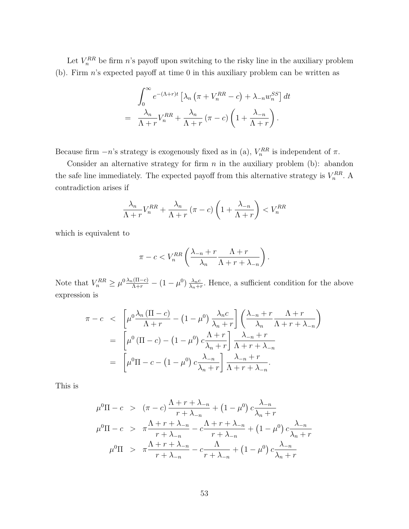Let  $V_n^{RR}$  be firm n's payoff upon switching to the risky line in the auxiliary problem (b). Firm  $n$ 's expected payoff at time 0 in this auxiliary problem can be written as

$$
\int_0^\infty e^{-(\Lambda+r)t} \left[ \lambda_n \left( \pi + V_n^{RR} - c \right) + \lambda_{-n} w_n^{SS} \right] dt
$$

$$
= \frac{\lambda_n}{\Lambda + r} V_n^{RR} + \frac{\lambda_n}{\Lambda + r} \left( \pi - c \right) \left( 1 + \frac{\lambda_{-n}}{\Lambda + r} \right).
$$

Because firm  $-n$ 's strategy is exogenously fixed as in (a),  $V_n^{RR}$  is independent of  $\pi$ .

Consider an alternative strategy for firm  $n$  in the auxiliary problem (b): abandon the safe line immediately. The expected payoff from this alternative strategy is  $V_n^{RR}$ . A contradiction arises if

$$
\frac{\lambda_n}{\Lambda + r} V_n^{RR} + \frac{\lambda_n}{\Lambda + r} \left( \pi - c \right) \left( 1 + \frac{\lambda_{-n}}{\Lambda + r} \right) < V_n^{RR}
$$

which is equivalent to

$$
\pi - c < V_n^{RR} \left( \frac{\lambda_{-n} + r}{\lambda_n} \frac{\Lambda + r}{\Lambda + r + \lambda_{-n}} \right).
$$

Note that  $V_n^{RR} \geq \mu^0 \frac{\lambda_n (\Pi - c)}{\Lambda + r} - (1 - \mu^0) \frac{\lambda_n c}{\lambda_n + r}$  $\frac{\lambda_n c}{\lambda_n+r}$ . Hence, a sufficient condition for the above expression is

$$
\pi - c \leq \left[ \mu^0 \frac{\lambda_n (\Pi - c)}{\Lambda + r} - (1 - \mu^0) \frac{\lambda_n c}{\lambda_n + r} \right] \left( \frac{\lambda_{-n} + r}{\lambda_n} \frac{\Lambda + r}{\Lambda + r + \lambda_{-n}} \right)
$$
  
= 
$$
\left[ \mu^0 (\Pi - c) - (1 - \mu^0) c \frac{\Lambda + r}{\lambda_n + r} \right] \frac{\lambda_{-n} + r}{\Lambda + r + \lambda_{-n}}
$$
  
= 
$$
\left[ \mu^0 \Pi - c - (1 - \mu^0) c \frac{\lambda_{-n}}{\lambda_n + r} \right] \frac{\lambda_{-n} + r}{\Lambda + r + \lambda_{-n}}.
$$

This is

$$
\mu^{0}\Pi - c \quad > \quad (\pi - c)\frac{\Lambda + r + \lambda_{-n}}{r + \lambda_{-n}} + (1 - \mu^{0})c\frac{\lambda_{-n}}{\lambda_{n} + r}
$$
\n
$$
\mu^{0}\Pi - c \quad > \quad \pi\frac{\Lambda + r + \lambda_{-n}}{r + \lambda_{-n}} - c\frac{\Lambda + r + \lambda_{-n}}{r + \lambda_{-n}} + (1 - \mu^{0})c\frac{\lambda_{-n}}{\lambda_{n} + r}
$$
\n
$$
\mu^{0}\Pi \quad > \quad \pi\frac{\Lambda + r + \lambda_{-n}}{r + \lambda_{-n}} - c\frac{\Lambda}{r + \lambda_{-n}} + (1 - \mu^{0})c\frac{\lambda_{-n}}{\lambda_{n} + r}
$$